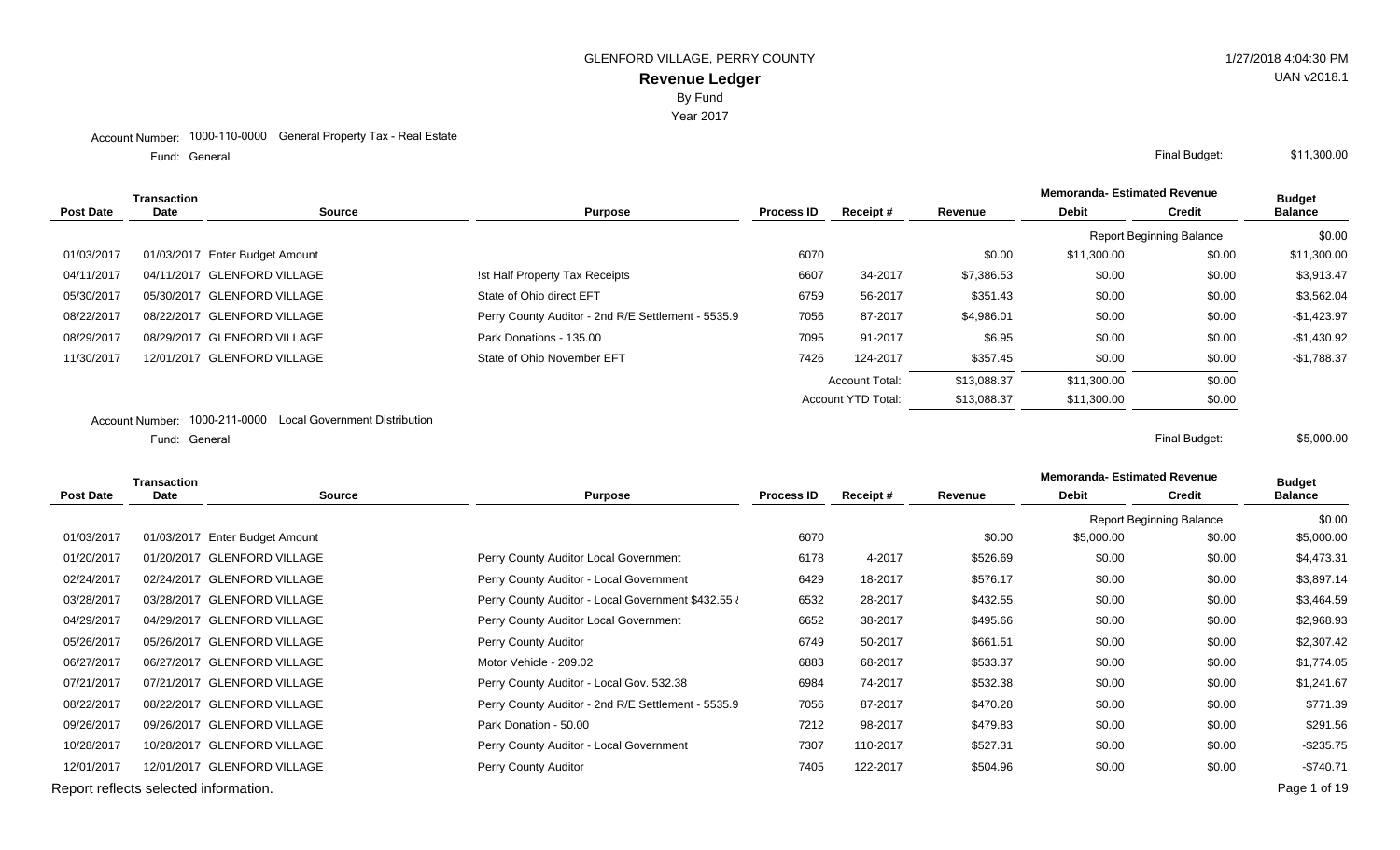Year 2017

#### Account Number: 1000-110-0000 General Property Tax - Real Estate

Fund: General

|                  | Transaction |                                                             |                                                    |                   |                           |             | <b>Memoranda- Estimated Revenue</b> |                                 | <b>Budget</b>  |
|------------------|-------------|-------------------------------------------------------------|----------------------------------------------------|-------------------|---------------------------|-------------|-------------------------------------|---------------------------------|----------------|
| <b>Post Date</b> | <b>Date</b> | <b>Source</b>                                               | <b>Purpose</b>                                     | <b>Process ID</b> | Receipt#                  | Revenue     | <b>Debit</b>                        | <b>Credit</b>                   | <b>Balance</b> |
|                  |             |                                                             |                                                    |                   |                           |             |                                     | <b>Report Beginning Balance</b> | \$0.00         |
| 01/03/2017       |             | 01/03/2017 Enter Budget Amount                              |                                                    | 6070              |                           | \$0.00      | \$11,300.00                         | \$0.00                          | \$11,300.00    |
| 04/11/2017       |             | 04/11/2017 GLENFORD VILLAGE                                 | Ist Half Property Tax Receipts                     | 6607              | 34-2017                   | \$7,386.53  | \$0.00                              | \$0.00                          | \$3,913.47     |
| 05/30/2017       |             | 05/30/2017 GLENFORD VILLAGE                                 | State of Ohio direct EFT                           | 6759              | 56-2017                   | \$351.43    | \$0.00                              | \$0.00                          | \$3,562.04     |
| 08/22/2017       |             | 08/22/2017 GLENFORD VILLAGE                                 | Perry County Auditor - 2nd R/E Settlement - 5535.9 | 7056              | 87-2017                   | \$4,986.01  | \$0.00                              | \$0.00                          | $-$1,423.97$   |
| 08/29/2017       |             | 08/29/2017 GLENFORD VILLAGE                                 | Park Donations - 135.00                            | 7095              | 91-2017                   | \$6.95      | \$0.00                              | \$0.00                          | $-$1,430.92$   |
| 11/30/2017       |             | 12/01/2017 GLENFORD VILLAGE                                 | State of Ohio November EFT                         | 7426              | 124-2017                  | \$357.45    | \$0.00                              | \$0.00                          | $-$1,788.37$   |
|                  |             |                                                             |                                                    |                   | <b>Account Total:</b>     | \$13,088.37 | \$11,300.00                         | \$0.00                          |                |
|                  |             |                                                             |                                                    |                   | <b>Account YTD Total:</b> | \$13,088.37 | \$11,300.00                         | \$0.00                          |                |
|                  |             | Account Number: 1000-211-0000 Local Government Distribution |                                                    |                   |                           |             |                                     |                                 |                |

General Final Budget: Fund: General

**Memoranda- Estimated Revenue Source Purpose Process ID Receipt # Revenue Debit Transaction Post Date Date Budget Credit Balance** Report Beginning Balance \$0.00 01/03/2017 01/03/2017 Enter Budget Amount 2002 10:00 \$5,000 \$5,000 \$5,000 \$0.00 \$5,000 \$0.00 \$5,000.00 \$5,000 01/20/2017 01/20/2017 GLENFORD VILLAGE Perry County Auditor Local Government 6178 4-2017 \$526.69 \$0.00 \$0.00 \$4,473.31 02/24/2017 02/24/2017 GLENFORD VILLAGE **Perry County Auditor - Local Government** 6429 18-2017 \$576.17 \$0.00 \$3,897.14 03/28/2017 03/28/2017 GLENFORD VILLAGE Perry County Auditor - Local Government \$432.55 6532 28-2017 \$432.55 \$0.00 \$3,464.59 04/29/2017 04/29/2017 GLENFORD VILLAGE Perry County Auditor Local Government 6652 38-2017 \$495.66 \$0.00 \$2,968.93 05/26/2017 05/26/2017 GLENFORD VILLAGE **Perry County Auditor County Auditor** 6749 50-2017 \$661.51 \$0.00 \$2,307.42 06/27/2017 06/27/2017 GLENFORD VILLAGE Motor Vehicle - 209.02 6883 68-2017 \$533.37 \$0.00 \$1.774.05 07/21/2017 07/21/2017 GLENFORD VILLAGE Perry County Auditor - Local Gov. 532.38 6984 74-2017 \$532.38 \$0.00 \$1,241.67 08/22/2017 08/22/2017 GLENFORD VILLAGE **Perry County Auditor - 2nd R/E Settlement - 5535.9** 7056 87-2017 \$470.28 \$0.00 \$0.00 \$0.00 \$771.39 09/26/2017 09/26/2017 GLENFORD VILLAGE **Park Donation - 50.00** Park Donation - 50.00 \$291.56 10/28/2017 10/28/2017 GLENFORD VILLAGE Perry County Auditor - Local Government 7307 110-2017 \$527.31 \$0.00 \$0.00 -\$235.75 12/01/2017 12/01/2017 GLENFORD VILLAGE Perry County Auditor 7405 122-2017 \$504.96 \$0.00 \$0.00 -\$740.71 Report reflects selected information. Page 1 of 19

UAN v2018.1

General Final Budget: \$11,300.00

\$5,000.00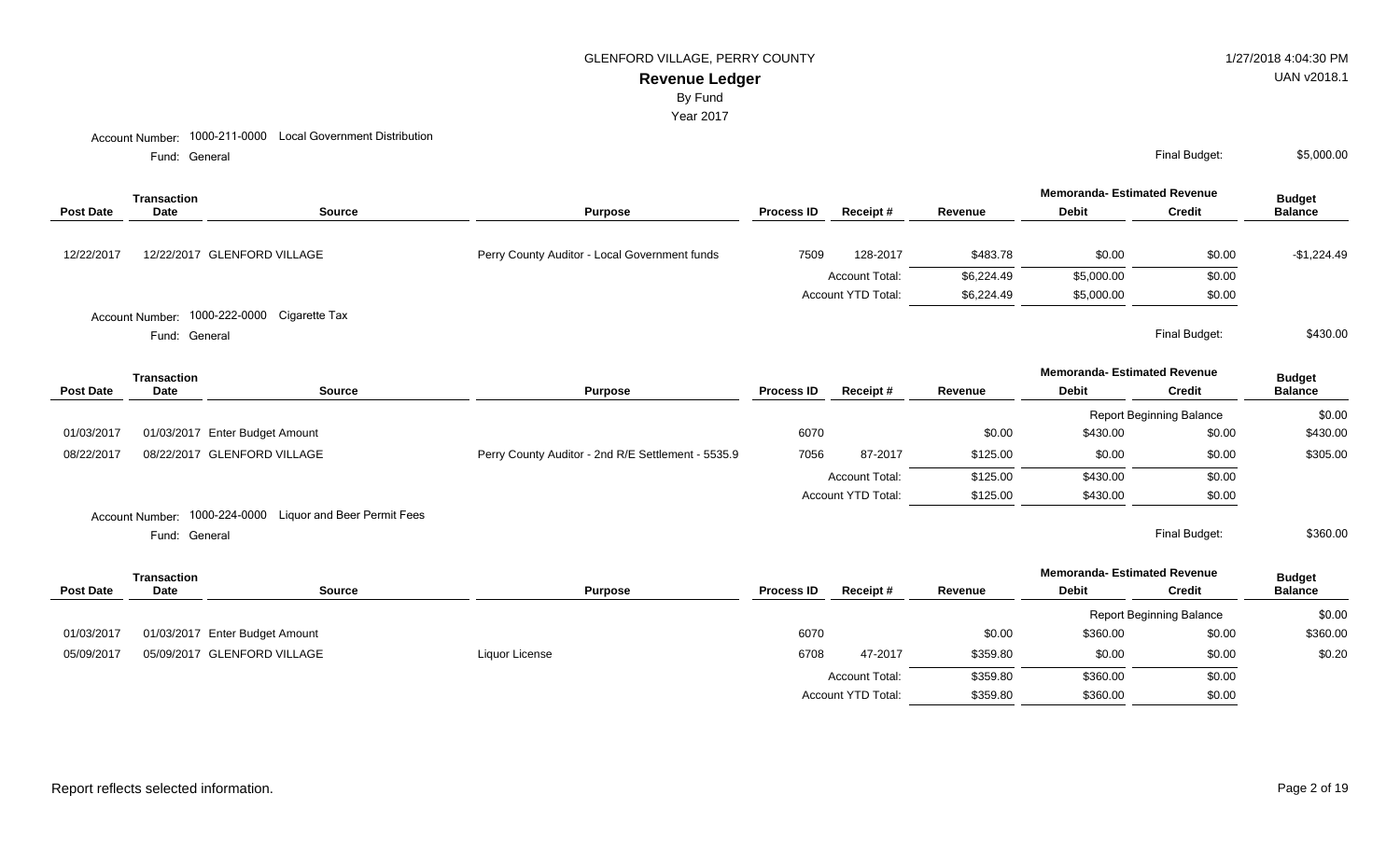### GLENFORD VILLAGE, PERRY COUNTY **1/27/2018 4:04:30 PM**

## **Revenue Ledger**

By Fund

#### Year 2017

Fund: General

|                  | Transaction                                 |               | <b>Purpose</b>                                |                   |                           |            | <b>Memoranda- Estimated Revenue</b> |               | <b>Budget</b>  |
|------------------|---------------------------------------------|---------------|-----------------------------------------------|-------------------|---------------------------|------------|-------------------------------------|---------------|----------------|
| <b>Post Date</b> | Date                                        | <b>Source</b> |                                               | <b>Process ID</b> | Receipt#                  | Revenue    | <b>Debit</b>                        | Credit        | <b>Balance</b> |
| 12/22/2017       | 12/22/2017 GLENFORD VILLAGE                 |               | Perry County Auditor - Local Government funds | 7509              | 128-2017                  | \$483.78   | \$0.00                              | \$0.00        | $-$1,224.49$   |
|                  |                                             |               |                                               |                   | <b>Account Total:</b>     | \$6,224.49 | \$5,000.00                          | \$0.00        |                |
|                  |                                             |               |                                               |                   | <b>Account YTD Total:</b> | \$6,224.49 | \$5,000.00                          | \$0.00        |                |
|                  | Account Number: 1000-222-0000 Cigarette Tax |               |                                               |                   |                           |            |                                     |               |                |
|                  | Fund: General                               |               |                                               |                   |                           |            |                                     | Final Budget: | \$430.00       |

General Final Budget: Fund: General

|                  | <b>Transaction</b> |                                                           |                                                    |                   |                       |          | <b>Memoranda- Estimated Revenue</b> |                                 | <b>Budget</b>  |
|------------------|--------------------|-----------------------------------------------------------|----------------------------------------------------|-------------------|-----------------------|----------|-------------------------------------|---------------------------------|----------------|
| <b>Post Date</b> | Date               | <b>Source</b>                                             | <b>Purpose</b>                                     | <b>Process ID</b> | Receipt#              | Revenue  | <b>Debit</b>                        | <b>Credit</b>                   | <b>Balance</b> |
|                  |                    |                                                           |                                                    |                   |                       |          |                                     | <b>Report Beginning Balance</b> | \$0.00         |
| 01/03/2017       |                    | 01/03/2017 Enter Budget Amount                            |                                                    | 6070              |                       | \$0.00   | \$430.00                            | \$0.00                          | \$430.00       |
| 08/22/2017       |                    | 08/22/2017 GLENFORD VILLAGE                               | Perry County Auditor - 2nd R/E Settlement - 5535.9 | 7056              | 87-2017               | \$125.00 | \$0.00                              | \$0.00                          | \$305.00       |
|                  |                    |                                                           |                                                    |                   | <b>Account Total:</b> | \$125.00 | \$430.00                            | \$0.00                          |                |
|                  |                    |                                                           |                                                    |                   | Account YTD Total:    | \$125.00 | \$430.00                            | \$0.00                          |                |
|                  |                    | Account Number: 1000-224-0000 Liquor and Beer Permit Fees |                                                    |                   |                       |          |                                     |                                 |                |
|                  | Fund: General      |                                                           |                                                    |                   |                       |          |                                     | Final Budget:                   | \$360.00       |

|                  | <b>Transaction</b> |                                |                |                   |                           |          | <b>Memoranda- Estimated Revenue</b> |                                 | <b>Budget</b>  |
|------------------|--------------------|--------------------------------|----------------|-------------------|---------------------------|----------|-------------------------------------|---------------------------------|----------------|
| <b>Post Date</b> | <b>Date</b>        | Source                         | <b>Purpose</b> | <b>Process ID</b> | <b>Receipt#</b>           | Revenue  | <b>Debit</b>                        | <b>Credit</b>                   | <b>Balance</b> |
|                  |                    |                                |                |                   |                           |          |                                     | <b>Report Beginning Balance</b> | \$0.00         |
| 01/03/2017       |                    | 01/03/2017 Enter Budget Amount |                | 6070              |                           | \$0.00   | \$360.00                            | \$0.00                          | \$360.00       |
| 05/09/2017       |                    | 05/09/2017 GLENFORD VILLAGE    | Liquor License | 6708              | 47-2017                   | \$359.80 | \$0.00                              | \$0.00                          | \$0.20         |
|                  |                    |                                |                |                   | <b>Account Total:</b>     | \$359.80 | \$360.00                            | \$0.00                          |                |
|                  |                    |                                |                |                   | <b>Account YTD Total:</b> | \$359.80 | \$360.00                            | \$0.00                          |                |

UAN v2018.1

General Final Budget: \$5,000.00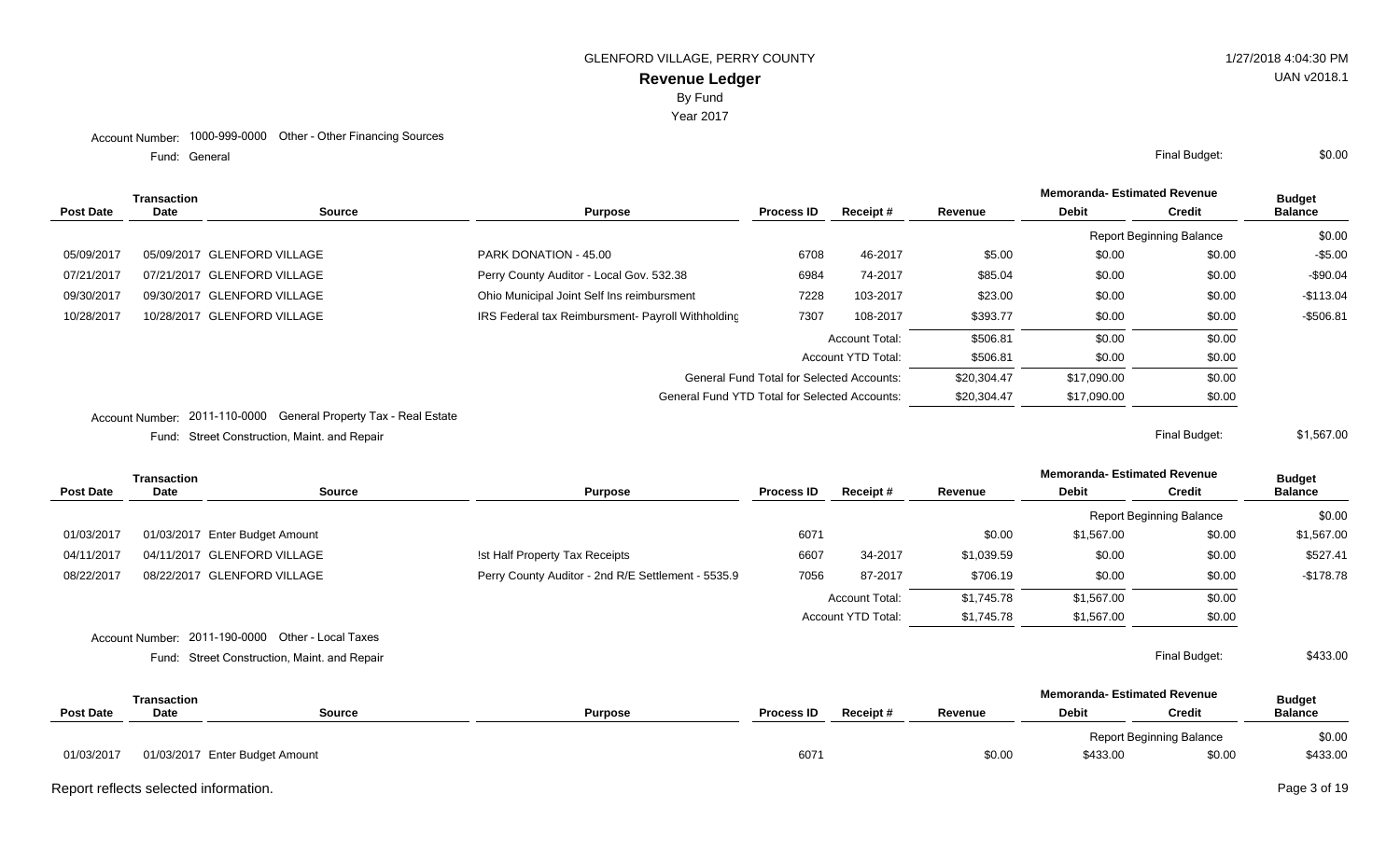Year 2017

Fund: General

| Transaction      |      |                             |                                                      |                                                  |                           |             | <b>Memoranda- Estimated Revenue</b> |                                 | <b>Budget</b>  |
|------------------|------|-----------------------------|------------------------------------------------------|--------------------------------------------------|---------------------------|-------------|-------------------------------------|---------------------------------|----------------|
| <b>Post Date</b> | Date | Source                      | <b>Purpose</b>                                       | <b>Process ID</b>                                | Receipt#                  | Revenue     | <b>Debit</b>                        | <b>Credit</b>                   | <b>Balance</b> |
|                  |      |                             |                                                      |                                                  |                           |             |                                     | <b>Report Beginning Balance</b> | \$0.00         |
| 05/09/2017       |      | 05/09/2017 GLENFORD VILLAGE | PARK DONATION - 45.00                                | 6708                                             | 46-2017                   | \$5.00      | \$0.00                              | \$0.00                          | $-$5.00$       |
| 07/21/2017       |      | 07/21/2017 GLENFORD VILLAGE | Perry County Auditor - Local Gov. 532.38             | 6984                                             | 74-2017                   | \$85.04     | \$0.00                              | \$0.00                          | $-$90.04$      |
| 09/30/2017       |      | 09/30/2017 GLENFORD VILLAGE | Ohio Municipal Joint Self Ins reimbursment           | 7228                                             | 103-2017                  | \$23.00     | \$0.00                              | \$0.00                          | $-$113.04$     |
| 10/28/2017       |      | 10/28/2017 GLENFORD VILLAGE | IRS Federal tax Reimbursment- Payroll Withholding    | 7307                                             | 108-2017                  | \$393.77    | \$0.00                              | \$0.00                          | $-$506.81$     |
|                  |      |                             |                                                      |                                                  | <b>Account Total:</b>     | \$506.81    | \$0.00                              | \$0.00                          |                |
|                  |      |                             |                                                      |                                                  | <b>Account YTD Total:</b> | \$506.81    | \$0.00                              | \$0.00                          |                |
|                  |      |                             |                                                      | <b>General Fund Total for Selected Accounts:</b> |                           | \$20,304.47 | \$17,090.00                         | \$0.00                          |                |
|                  |      |                             | <b>General Fund YTD Total for Selected Accounts:</b> |                                                  |                           | \$20,304.47 | \$17,090.00                         | \$0.00                          |                |
|                  |      | ---- --- ---- -             |                                                      |                                                  |                           |             |                                     |                                 |                |

Account Number: 2011-110-0000 General Property Tax - Real Estate

Street Construction, Maint. and Repair Final Budget: Fund:

**Memoranda- Estimated Revenue Source Purpose Process ID Receipt # Revenue Debit Transaction Post Date Date Budget Credit Balance** Report Beginning Balance \$0.00 01/03/2017 01/03/2017 Enter Budget Amount 6071 50.00 \$1,567.00 \$1,567.00 \$1,567.00 \$1,567.00 \$1,567.00 04/11/2017 04/11/2017 GLENFORD VILLAGE ! st Half Property Tax Receipts 6607 34-2017 \$1,039.59 \$0.00 \$0.00 \$527.41 08/22/2017 08/22/2017 GLENFORD VILLAGE **Perry County Auditor - 2nd R/E Settlement - 5535.9** 7056 87-2017 \$706.19 \$0.00 \$0.00 \$0.00 \$178.78 Account Total: \$1,745.78 \$1,567.00 \$0.00 Account YTD Total:  $$1,745.78$   $$1,567.00$  \$0.00 Account Number: 2011-190-0000 Other - Local Taxes **Memoranda- Estimated Revenue** Street Construction, Maint. and Repair Final Budget: Fund: **Source Purpose Process ID Receipt # Revenue Debit Transaction Post Date Date** \$433.00 **Budget Credit Balance** Report Beginning Balance \$0.00 01/03/2017 01/03/2017 Enter Budget Amount 2002 12:00 \$433.00 \$433.00 \$433.00 \$433.00 \$433.00

Report reflects selected information. Page 3 of 19

\$0.00

\$1,567.00

General Final Budget: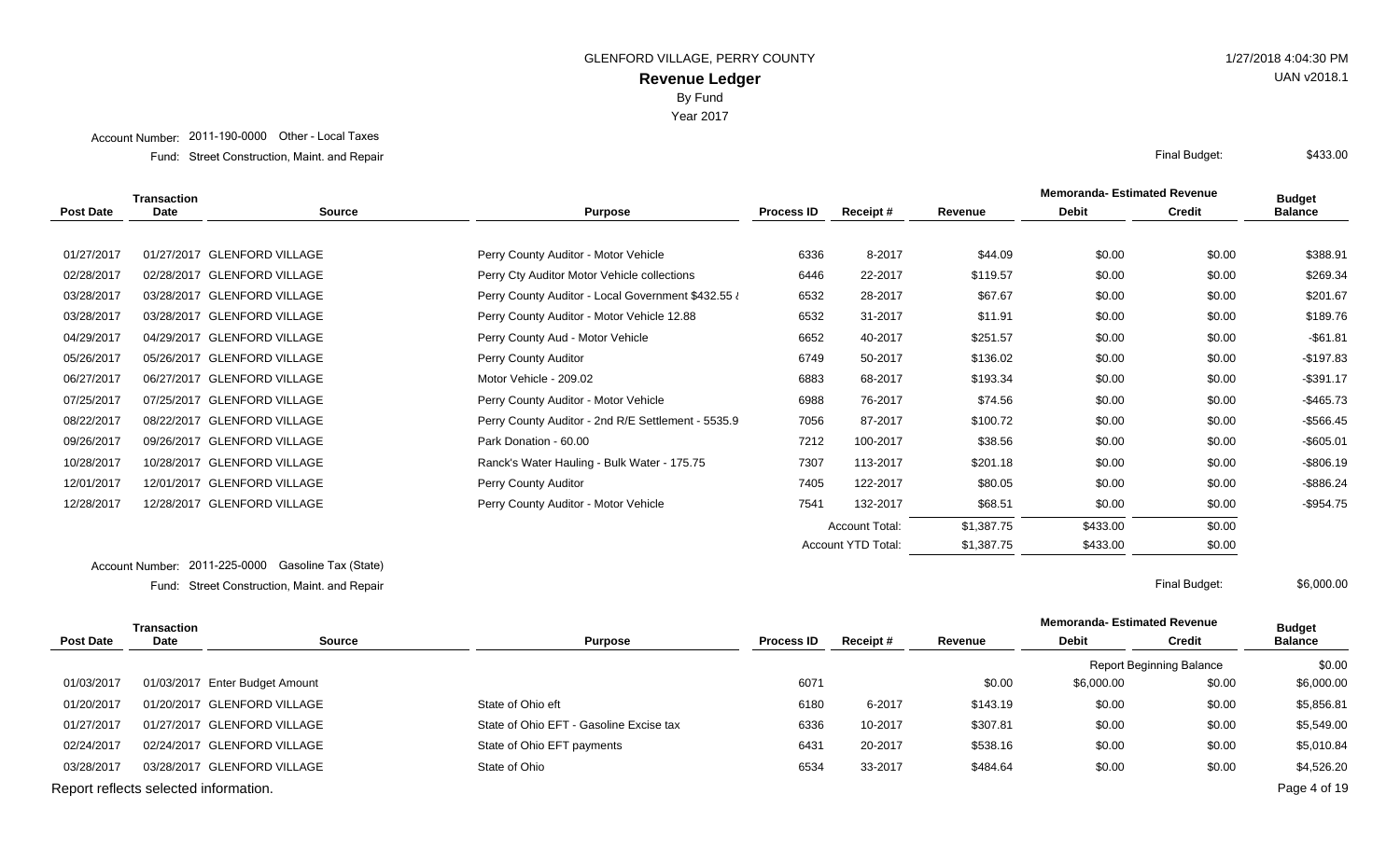Account Number: 2011-190-0000 Other - Local Taxes

Street Construction, Maint. and Repair Final Budget: Fund:

|                  | Transaction |                             |                                                    |                   |                       |            | <b>Memoranda- Estimated Revenue</b> |        | <b>Budget</b>  |
|------------------|-------------|-----------------------------|----------------------------------------------------|-------------------|-----------------------|------------|-------------------------------------|--------|----------------|
| <b>Post Date</b> | <b>Date</b> | <b>Source</b>               | <b>Purpose</b>                                     | <b>Process ID</b> | Receipt #             | Revenue    | <b>Debit</b>                        | Credit | <b>Balance</b> |
|                  |             |                             |                                                    |                   |                       |            |                                     |        |                |
| 01/27/2017       |             | 01/27/2017 GLENFORD VILLAGE | Perry County Auditor - Motor Vehicle               | 6336              | 8-2017                | \$44.09    | \$0.00                              | \$0.00 | \$388.91       |
| 02/28/2017       |             | 02/28/2017 GLENFORD VILLAGE | Perry Cty Auditor Motor Vehicle collections        | 6446              | 22-2017               | \$119.57   | \$0.00                              | \$0.00 | \$269.34       |
| 03/28/2017       |             | 03/28/2017 GLENFORD VILLAGE | Perry County Auditor - Local Government \$432.55 i | 6532              | 28-2017               | \$67.67    | \$0.00                              | \$0.00 | \$201.67       |
| 03/28/2017       |             | 03/28/2017 GLENFORD VILLAGE | Perry County Auditor - Motor Vehicle 12.88         | 6532              | 31-2017               | \$11.91    | \$0.00                              | \$0.00 | \$189.76       |
| 04/29/2017       |             | 04/29/2017 GLENFORD VILLAGE | Perry County Aud - Motor Vehicle                   | 6652              | 40-2017               | \$251.57   | \$0.00                              | \$0.00 | $-$ \$61.81    |
| 05/26/2017       |             | 05/26/2017 GLENFORD VILLAGE | Perry County Auditor                               | 6749              | 50-2017               | \$136.02   | \$0.00                              | \$0.00 | $-$197.83$     |
| 06/27/2017       |             | 06/27/2017 GLENFORD VILLAGE | Motor Vehicle - 209.02                             | 6883              | 68-2017               | \$193.34   | \$0.00                              | \$0.00 | $-$ \$391.17   |
| 07/25/2017       |             | 07/25/2017 GLENFORD VILLAGE | Perry County Auditor - Motor Vehicle               | 6988              | 76-2017               | \$74.56    | \$0.00                              | \$0.00 | $-$465.73$     |
| 08/22/2017       |             | 08/22/2017 GLENFORD VILLAGE | Perry County Auditor - 2nd R/E Settlement - 5535.9 | 7056              | 87-2017               | \$100.72   | \$0.00                              | \$0.00 | $-$566.45$     |
| 09/26/2017       |             | 09/26/2017 GLENFORD VILLAGE | Park Donation - 60.00                              | 7212              | 100-2017              | \$38.56    | \$0.00                              | \$0.00 | $-$605.01$     |
| 10/28/2017       |             | 10/28/2017 GLENFORD VILLAGE | Ranck's Water Hauling - Bulk Water - 175.75        | 7307              | 113-2017              | \$201.18   | \$0.00                              | \$0.00 | $-$806.19$     |
| 12/01/2017       |             | 12/01/2017 GLENFORD VILLAGE | Perry County Auditor                               | 7405              | 122-2017              | \$80.05    | \$0.00                              | \$0.00 | $-$ \$886.24   |
| 12/28/2017       |             | 12/28/2017 GLENFORD VILLAGE | Perry County Auditor - Motor Vehicle               | 7541              | 132-2017              | \$68.51    | \$0.00                              | \$0.00 | $-$954.75$     |
|                  |             |                             |                                                    |                   | <b>Account Total:</b> | \$1,387.75 | \$433.00                            | \$0.00 |                |
|                  |             |                             |                                                    |                   | Account YTD Total:    | \$1,387.75 | \$433.00                            | \$0.00 |                |

Account Number: 2011-225-0000 Gasoline Tax (State) Street Construction, Maint. and Repair Final Budget: Fund:

\$6,000.00

| Transaction                           |             |                                |                                         |                   |          |          | <b>Memoranda-Estimated Revenue</b> |                                 | <b>Budget</b>  |
|---------------------------------------|-------------|--------------------------------|-----------------------------------------|-------------------|----------|----------|------------------------------------|---------------------------------|----------------|
| <b>Post Date</b>                      | <b>Date</b> | <b>Source</b>                  | <b>Purpose</b>                          | <b>Process ID</b> | Receipt# | Revenue  | <b>Debit</b>                       | <b>Credit</b>                   | <b>Balance</b> |
|                                       |             |                                |                                         |                   |          |          |                                    | <b>Report Beginning Balance</b> | \$0.00         |
| 01/03/2017                            |             | 01/03/2017 Enter Budget Amount |                                         | 6071              |          | \$0.00   | \$6,000.00                         | \$0.00                          | \$6,000.00     |
| 01/20/2017                            |             | 01/20/2017 GLENFORD VILLAGE    | State of Ohio eft                       | 6180              | 6-2017   | \$143.19 | \$0.00                             | \$0.00                          | \$5,856.81     |
| 01/27/2017                            |             | 01/27/2017 GLENFORD VILLAGE    | State of Ohio EFT - Gasoline Excise tax | 6336              | 10-2017  | \$307.81 | \$0.00                             | \$0.00                          | \$5,549.00     |
| 02/24/2017                            |             | 02/24/2017 GLENFORD VILLAGE    | State of Ohio EFT payments              | 6431              | 20-2017  | \$538.16 | \$0.00                             | \$0.00                          | \$5,010.84     |
| 03/28/2017                            |             | 03/28/2017 GLENFORD VILLAGE    | State of Ohio                           | 6534              | 33-2017  | \$484.64 | \$0.00                             | \$0.00                          | \$4,526.20     |
| Report reflects selected information. |             |                                |                                         |                   |          |          |                                    |                                 | Page 4 of 19   |

# UAN v2018.1

\$433.00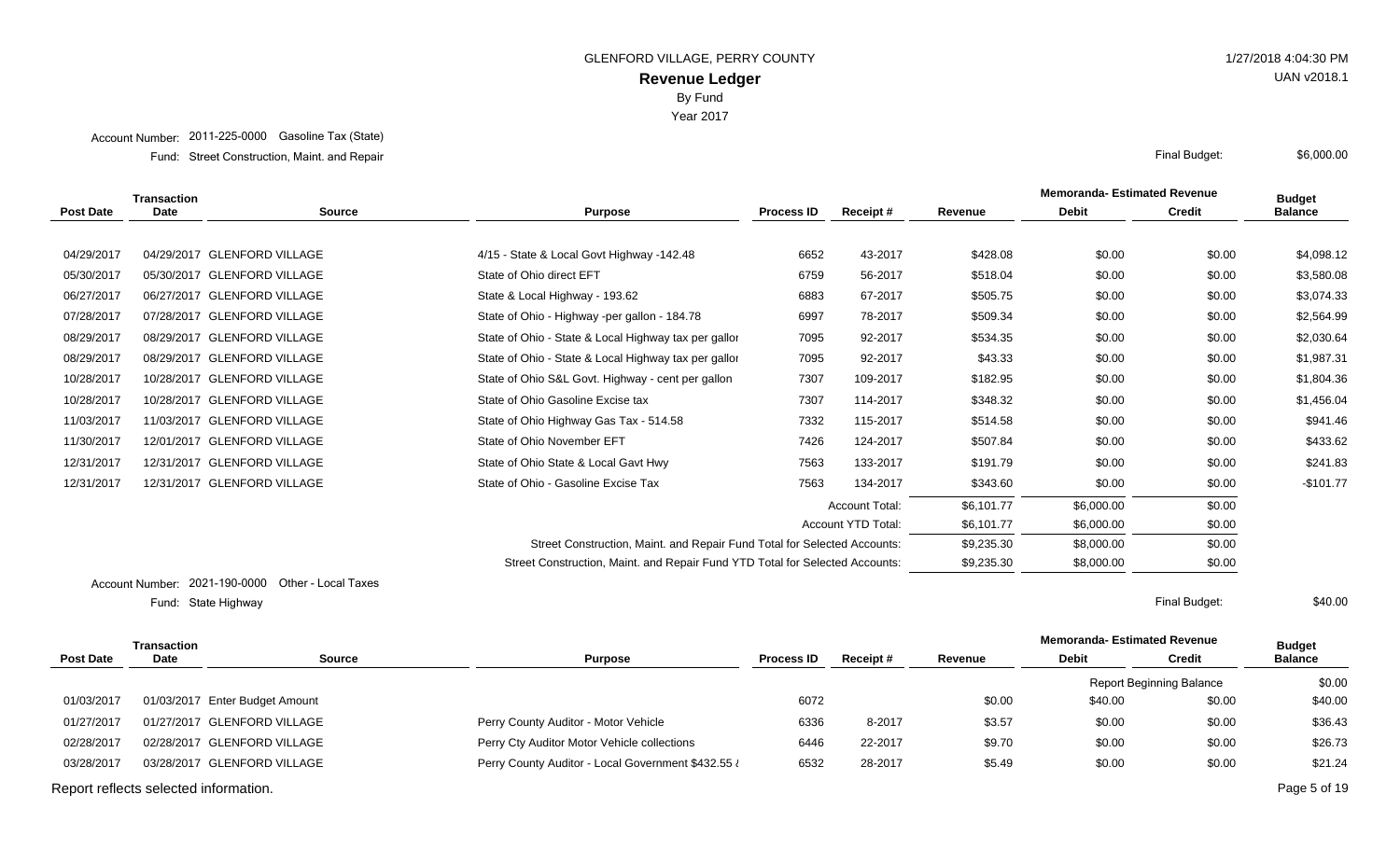Year 2017

#### Account Number: 2011-225-0000 Gasoline Tax (State)

Street Construction, Maint. and Repair Final Budget: Fund:

|                  | <b>Transaction</b> |                                               |                                                                              |                   |                       |            | <b>Memoranda-Estimated Revenue</b> |               | <b>Budget</b>  |
|------------------|--------------------|-----------------------------------------------|------------------------------------------------------------------------------|-------------------|-----------------------|------------|------------------------------------|---------------|----------------|
| <b>Post Date</b> | <b>Date</b>        | <b>Source</b>                                 | <b>Purpose</b>                                                               | <b>Process ID</b> | <b>Receipt#</b>       | Revenue    | <b>Debit</b>                       | <b>Credit</b> | <b>Balance</b> |
|                  |                    |                                               |                                                                              |                   |                       |            |                                    |               |                |
| 04/29/2017       |                    | 04/29/2017 GLENFORD VILLAGE                   | 4/15 - State & Local Govt Highway -142.48                                    | 6652              | 43-2017               | \$428.08   | \$0.00                             | \$0.00        | \$4,098.12     |
| 05/30/2017       |                    | 05/30/2017 GLENFORD VILLAGE                   | State of Ohio direct EFT                                                     | 6759              | 56-2017               | \$518.04   | \$0.00                             | \$0.00        | \$3,580.08     |
| 06/27/2017       |                    | 06/27/2017 GLENFORD VILLAGE                   | State & Local Highway - 193.62                                               | 6883              | 67-2017               | \$505.75   | \$0.00                             | \$0.00        | \$3,074.33     |
| 07/28/2017       |                    | 07/28/2017 GLENFORD VILLAGE                   | State of Ohio - Highway -per gallon - 184.78                                 | 6997              | 78-2017               | \$509.34   | \$0.00                             | \$0.00        | \$2,564.99     |
| 08/29/2017       |                    | 08/29/2017 GLENFORD VILLAGE                   | State of Ohio - State & Local Highway tax per gallor                         | 7095              | 92-2017               | \$534.35   | \$0.00                             | \$0.00        | \$2,030.64     |
| 08/29/2017       |                    | 08/29/2017 GLENFORD VILLAGE                   | State of Ohio - State & Local Highway tax per gallor                         | 7095              | 92-2017               | \$43.33    | \$0.00                             | \$0.00        | \$1,987.31     |
| 10/28/2017       |                    | 10/28/2017 GLENFORD VILLAGE                   | State of Ohio S&L Govt. Highway - cent per gallon                            | 7307              | 109-2017              | \$182.95   | \$0.00                             | \$0.00        | \$1,804.36     |
| 10/28/2017       |                    | 10/28/2017 GLENFORD VILLAGE                   | State of Ohio Gasoline Excise tax                                            | 7307              | 114-2017              | \$348.32   | \$0.00                             | \$0.00        | \$1,456.04     |
| 11/03/2017       |                    | 11/03/2017 GLENFORD VILLAGE                   | State of Ohio Highway Gas Tax - 514.58                                       | 7332              | 115-2017              | \$514.58   | \$0.00                             | \$0.00        | \$941.46       |
| 11/30/2017       |                    | 12/01/2017 GLENFORD VILLAGE                   | State of Ohio November EFT                                                   | 7426              | 124-2017              | \$507.84   | \$0.00                             | \$0.00        | \$433.62       |
| 12/31/2017       |                    | 12/31/2017 GLENFORD VILLAGE                   | State of Ohio State & Local Gavt Hwy                                         | 7563              | 133-2017              | \$191.79   | \$0.00                             | \$0.00        | \$241.83       |
| 12/31/2017       |                    | 12/31/2017 GLENFORD VILLAGE                   | State of Ohio - Gasoline Excise Tax                                          | 7563              | 134-2017              | \$343.60   | \$0.00                             | \$0.00        | $-$101.77$     |
|                  |                    |                                               |                                                                              |                   | <b>Account Total:</b> | \$6,101.77 | \$6,000.00                         | \$0.00        |                |
|                  |                    |                                               |                                                                              |                   | Account YTD Total:    | \$6,101.77 | \$6,000.00                         | \$0.00        |                |
|                  |                    |                                               | Street Construction, Maint. and Repair Fund Total for Selected Accounts:     |                   |                       | \$9,235.30 | \$8,000.00                         | \$0.00        |                |
|                  |                    |                                               | Street Construction, Maint. and Repair Fund YTD Total for Selected Accounts: |                   |                       | \$9,235.30 | \$8,000.00                         | \$0.00        |                |
|                  |                    | Assembly the 19021 100 0000 Other Legal Taxes |                                                                              |                   |                       |            |                                    |               |                |

Account Number: 2021-190-0000 Other - Local Taxes State Highway Final Budget: Fund: State Highway

\$40.00

| Transaction                           |      |                                |                                                    |                   |          |         | <b>Memoranda-Estimated Revenue</b> |                                 | <b>Budget</b>  |
|---------------------------------------|------|--------------------------------|----------------------------------------------------|-------------------|----------|---------|------------------------------------|---------------------------------|----------------|
| <b>Post Date</b>                      | Date | Source                         | <b>Purpose</b>                                     | <b>Process ID</b> | Receipt# | Revenue | <b>Debit</b>                       | <b>Credit</b>                   | <b>Balance</b> |
|                                       |      |                                |                                                    |                   |          |         |                                    | <b>Report Beginning Balance</b> | \$0.00         |
| 01/03/2017                            |      | 01/03/2017 Enter Budget Amount |                                                    | 6072              |          | \$0.00  | \$40.00                            | \$0.00                          | \$40.00        |
| 01/27/2017                            |      | 01/27/2017 GLENFORD VILLAGE    | Perry County Auditor - Motor Vehicle               | 6336              | 8-2017   | \$3.57  | \$0.00                             | \$0.00                          | \$36.43        |
| 02/28/2017                            |      | 02/28/2017 GLENFORD VILLAGE    | Perry Cty Auditor Motor Vehicle collections        | 6446              | 22-2017  | \$9.70  | \$0.00                             | \$0.00                          | \$26.73        |
| 03/28/2017                            |      | 03/28/2017 GLENFORD VILLAGE    | Perry County Auditor - Local Government \$432.55 i | 6532              | 28-2017  | \$5.49  | \$0.00                             | \$0.00                          | \$21.24        |
| Report reflects selected information. |      |                                |                                                    |                   |          |         |                                    |                                 | Page 5 of 19   |



\$6,000.00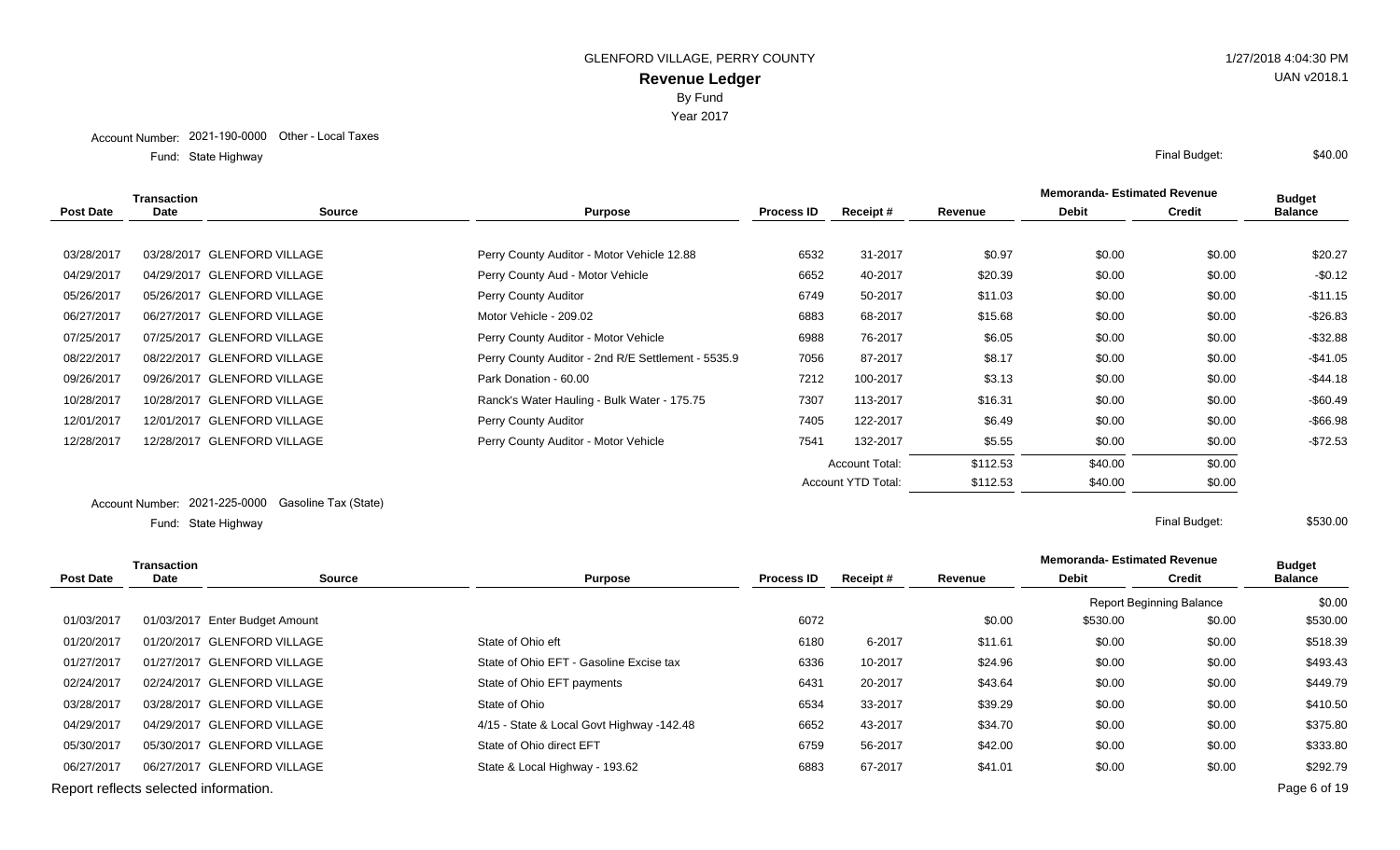Year 2017

State Highway Final Budget: Fund: State Highway

|            | Transaction |                             |                                                    |                   |                       |          | <b>Memoranda-Estimated Revenue</b> |               | <b>Budget</b>  |
|------------|-------------|-----------------------------|----------------------------------------------------|-------------------|-----------------------|----------|------------------------------------|---------------|----------------|
| Post Date  | <b>Date</b> | <b>Source</b>               | <b>Purpose</b>                                     | <b>Process ID</b> | <b>Receipt</b> #      | Revenue  | <b>Debit</b>                       | <b>Credit</b> | <b>Balance</b> |
|            |             |                             |                                                    |                   |                       |          |                                    |               |                |
| 03/28/2017 |             | 03/28/2017 GLENFORD VILLAGE | Perry County Auditor - Motor Vehicle 12.88         | 6532              | 31-2017               | \$0.97   | \$0.00                             | \$0.00        | \$20.27        |
| 04/29/2017 |             | 04/29/2017 GLENFORD VILLAGE | Perry County Aud - Motor Vehicle                   | 6652              | 40-2017               | \$20.39  | \$0.00                             | \$0.00        | $-$0.12$       |
| 05/26/2017 |             | 05/26/2017 GLENFORD VILLAGE | Perry County Auditor                               | 6749              | 50-2017               | \$11.03  | \$0.00                             | \$0.00        | $-$11.15$      |
| 06/27/2017 |             | 06/27/2017 GLENFORD VILLAGE | Motor Vehicle - 209.02                             | 6883              | 68-2017               | \$15.68  | \$0.00                             | \$0.00        | $-$ \$26.83    |
| 07/25/2017 |             | 07/25/2017 GLENFORD VILLAGE | Perry County Auditor - Motor Vehicle               | 6988              | 76-2017               | \$6.05   | \$0.00                             | \$0.00        | $-$ \$32.88    |
| 08/22/2017 |             | 08/22/2017 GLENFORD VILLAGE | Perry County Auditor - 2nd R/E Settlement - 5535.9 | 7056              | 87-2017               | \$8.17   | \$0.00                             | \$0.00        | $-$41.05$      |
| 09/26/2017 |             | 09/26/2017 GLENFORD VILLAGE | Park Donation - 60.00                              | 7212              | 100-2017              | \$3.13   | \$0.00                             | \$0.00        | $-$ \$44.18    |
| 10/28/2017 |             | 10/28/2017 GLENFORD VILLAGE | Ranck's Water Hauling - Bulk Water - 175.75        | 7307              | 113-2017              | \$16.31  | \$0.00                             | \$0.00        | $-$60.49$      |
| 12/01/2017 |             | 12/01/2017 GLENFORD VILLAGE | Perry County Auditor                               | 7405              | 122-2017              | \$6.49   | \$0.00                             | \$0.00        | $-$66.98$      |
| 12/28/2017 |             | 12/28/2017 GLENFORD VILLAGE | Perry County Auditor - Motor Vehicle               | 7541              | 132-2017              | \$5.55   | \$0.00                             | \$0.00        | $-$72.53$      |
|            |             |                             |                                                    |                   | <b>Account Total:</b> | \$112.53 | \$40.00                            | \$0.00        |                |
|            |             |                             |                                                    |                   | Account YTD Total:    | \$112.53 | \$40.00                            | \$0.00        |                |

#### Account Number: 2021-225-0000 Gasoline Tax (State) State Highway Final Budget: Fund: State Highway

| <b>Transaction</b> |                                       |                                |                                           |                   |          |         | <b>Memoranda-Estimated Revenue</b> | <b>Budget</b>                   |                |
|--------------------|---------------------------------------|--------------------------------|-------------------------------------------|-------------------|----------|---------|------------------------------------|---------------------------------|----------------|
| <b>Post Date</b>   | <b>Date</b>                           | <b>Source</b>                  | <b>Purpose</b>                            | <b>Process ID</b> | Receipt# | Revenue | <b>Debit</b>                       | <b>Credit</b>                   | <b>Balance</b> |
|                    |                                       |                                |                                           |                   |          |         |                                    | <b>Report Beginning Balance</b> | \$0.00         |
| 01/03/2017         |                                       | 01/03/2017 Enter Budget Amount |                                           | 6072              |          | \$0.00  | \$530.00                           | \$0.00                          | \$530.00       |
| 01/20/2017         |                                       | 01/20/2017 GLENFORD VILLAGE    | State of Ohio eft                         | 6180              | 6-2017   | \$11.61 | \$0.00                             | \$0.00                          | \$518.39       |
| 01/27/2017         |                                       | 01/27/2017 GLENFORD VILLAGE    | State of Ohio EFT - Gasoline Excise tax   | 6336              | 10-2017  | \$24.96 | \$0.00                             | \$0.00                          | \$493.43       |
| 02/24/2017         |                                       | 02/24/2017 GLENFORD VILLAGE    | State of Ohio EFT payments                | 6431              | 20-2017  | \$43.64 | \$0.00                             | \$0.00                          | \$449.79       |
| 03/28/2017         |                                       | 03/28/2017 GLENFORD VILLAGE    | State of Ohio                             | 6534              | 33-2017  | \$39.29 | \$0.00                             | \$0.00                          | \$410.50       |
| 04/29/2017         |                                       | 04/29/2017 GLENFORD VILLAGE    | 4/15 - State & Local Govt Highway -142.48 | 6652              | 43-2017  | \$34.70 | \$0.00                             | \$0.00                          | \$375.80       |
| 05/30/2017         |                                       | 05/30/2017 GLENFORD VILLAGE    | State of Ohio direct EFT                  | 6759              | 56-2017  | \$42.00 | \$0.00                             | \$0.00                          | \$333.80       |
| 06/27/2017         |                                       | 06/27/2017 GLENFORD VILLAGE    | State & Local Highway - 193.62            | 6883              | 67-2017  | \$41.01 | \$0.00                             | \$0.00                          | \$292.79       |
|                    | Report reflects selected information. |                                |                                           |                   |          |         |                                    |                                 | Page 6 of 19   |

# UAN v2018.1

\$40.00

\$530.00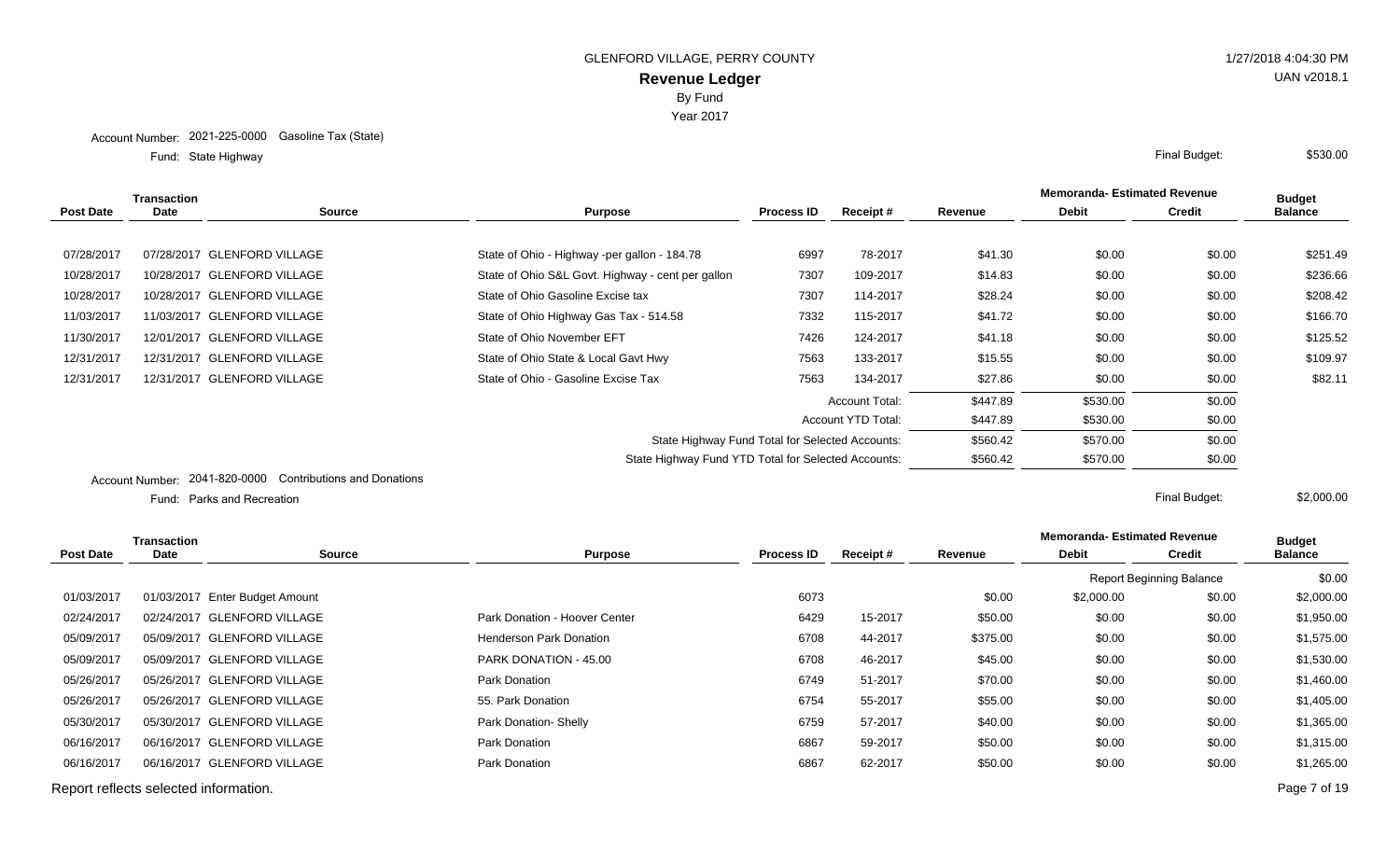Year 2017

State Highway Final Budget: Fund: State Highway

|                  | Transaction                            |                                            |                                                     |                   |                       |          | <b>Memoranda-Estimated Revenue</b> |               | <b>Budget</b>  |
|------------------|----------------------------------------|--------------------------------------------|-----------------------------------------------------|-------------------|-----------------------|----------|------------------------------------|---------------|----------------|
| <b>Post Date</b> | <b>Date</b>                            | Source                                     | <b>Purpose</b>                                      | <b>Process ID</b> | Receipt #             | Revenue  | <b>Debit</b>                       | <b>Credit</b> | <b>Balance</b> |
|                  |                                        |                                            |                                                     |                   |                       |          |                                    |               |                |
| 07/28/2017       |                                        | 07/28/2017 GLENFORD VILLAGE                | State of Ohio - Highway -per gallon - 184.78        | 6997              | 78-2017               | \$41.30  | \$0.00                             | \$0.00        | \$251.49       |
| 10/28/2017       |                                        | 10/28/2017 GLENFORD VILLAGE                | State of Ohio S&L Govt. Highway - cent per gallon   | 7307              | 109-2017              | \$14.83  | \$0.00                             | \$0.00        | \$236.66       |
| 10/28/2017       |                                        | 10/28/2017 GLENFORD VILLAGE                | State of Ohio Gasoline Excise tax                   | 7307              | 114-2017              | \$28.24  | \$0.00                             | \$0.00        | \$208.42       |
| 11/03/2017       |                                        | 11/03/2017 GLENFORD VILLAGE                | State of Ohio Highway Gas Tax - 514.58              | 7332              | 115-2017              | \$41.72  | \$0.00                             | \$0.00        | \$166.70       |
| 11/30/2017       |                                        | 12/01/2017 GLENFORD VILLAGE                | State of Ohio November EFT                          | 7426              | 124-2017              | \$41.18  | \$0.00                             | \$0.00        | \$125.52       |
| 12/31/2017       |                                        | 12/31/2017 GLENFORD VILLAGE                | State of Ohio State & Local Gavt Hwy                | 7563              | 133-2017              | \$15.55  | \$0.00                             | \$0.00        | \$109.97       |
| 12/31/2017       |                                        | 12/31/2017 GLENFORD VILLAGE                | State of Ohio - Gasoline Excise Tax                 | 7563              | 134-2017              | \$27.86  | \$0.00                             | \$0.00        | \$82.11        |
|                  |                                        |                                            |                                                     |                   | <b>Account Total:</b> | \$447.89 | \$530.00                           | \$0.00        |                |
|                  |                                        |                                            |                                                     |                   | Account YTD Total:    | \$447.89 | \$530.00                           | \$0.00        |                |
|                  |                                        |                                            | State Highway Fund Total for Selected Accounts:     |                   |                       | \$560.42 | \$570.00                           | \$0.00        |                |
|                  |                                        |                                            | State Highway Fund YTD Total for Selected Accounts: |                   |                       | \$560.42 | \$570.00                           | \$0.00        |                |
|                  | $\mathbf{A}$ . The set of $\mathbf{A}$ | 0041.000.0000 Cantributions and Depatience |                                                     |                   |                       |          |                                    |               |                |

Account Number: 2041-820-0000 Contributions and Donations

Parks and Recreation Final Budget: Fund: Parks and Recreation

**Memoranda- Estimated Revenue Source Purpose Process ID Receipt # Revenue Debit Transaction Post Date Date Budget Credit Balance** Report Beginning Balance \$0.00 01/03/2017 01/03/2017 Enter Budget Amount 2,000.00 \$2,000.00 \$2,000.00 \$2,000.00 \$2,000.00 \$2,000.00 \$2,000.00 02/24/2017 02/24/2017 GLENFORD VILLAGE Park Donation - Hoover Center 6429 15-2017 \$50.00 \$0.00 \$1,950.00 \$1,950.00 05/09/2017 05/09/2017 GLENFORD VILLAGE **Henderson Park Donation** 6708 44-2017 \$375.00 \$0.00 \$0.00 \$1,575.00 05/09/2017 05/09/2017 GLENFORD VILLAGE PARK DONATION - 45.00 6708 46-2017 \$45.00 \$0.00 \$0.00 \$1,530.00 05/26/2017 05/26/2017 GLENFORD VILLAGE **Park Donation** Park Donation 6749 51-2017 \$70.00 \$0.00 \$0.00 \$1,460.00 05/26/2017 05/26/2017 GLENFORD VILLAGE 65. Park Donation 55. Park Donation 6754 55-2017 \$55.00 \$0.00 \$1,405.00 05/30/2017 05/30/2017 GLENFORD VILLAGE **Park Donation- Shelly 6759** 6759 57-2017 \$40.00 \$0.00 \$1,365.00 \$1,365.00 06/16/2017 06/16/2017 GLENFORD VILLAGE **Park Donation** Park Donation 6867 59-2017 \$50.00 \$0.00 \$1,315.00 06/16/2017 06/16/2017 GLENFORD VILLAGE **Park Donation** Park Donation 6867 62-2017 \$50.00 \$0.00 \$1,265.00 \$1,265.00 Report reflects selected information. Page 7 of 19

\$530.00

\$2,000.00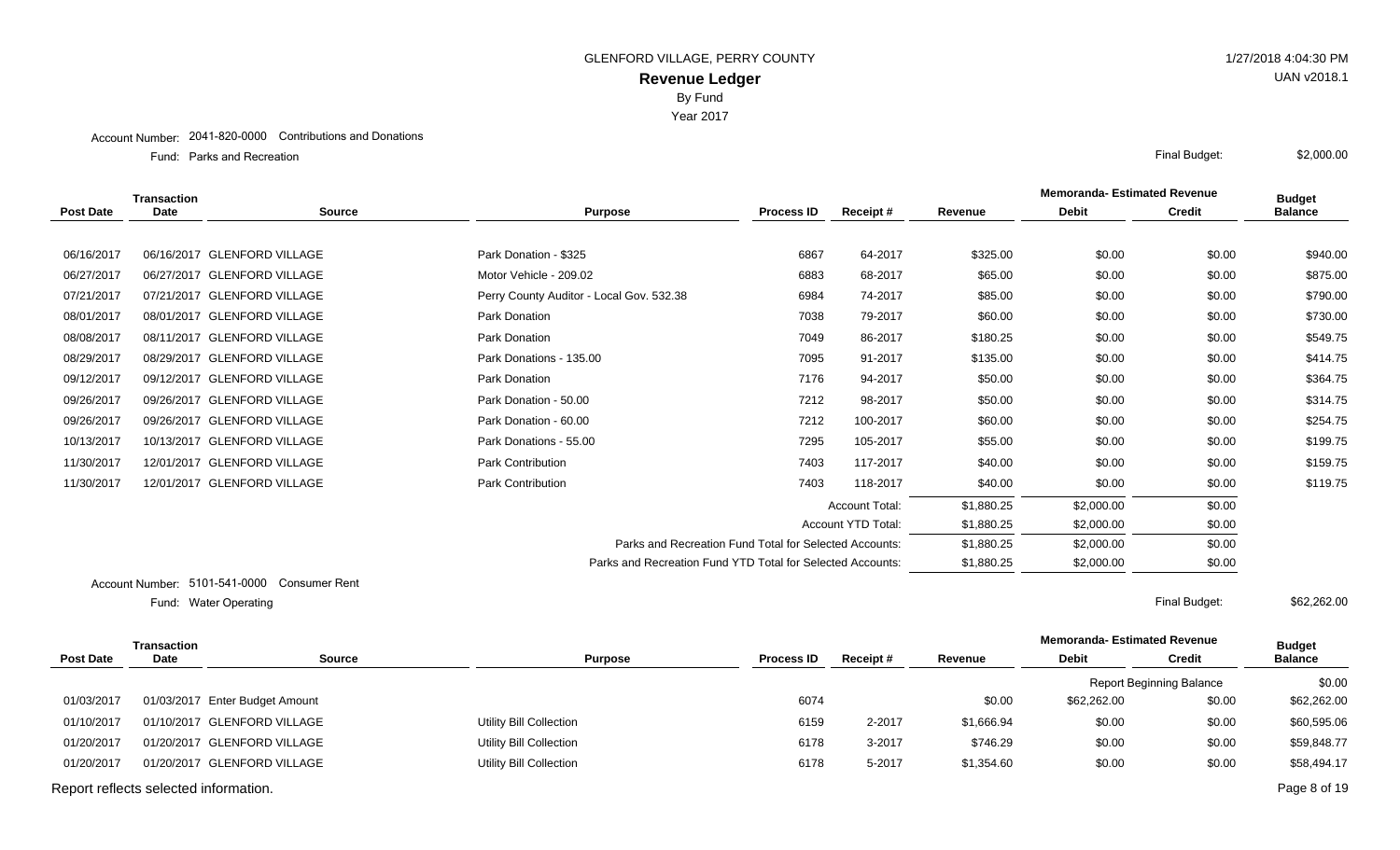Year 2017

#### Account Number: 2041-820-0000 Contributions and Donations

Parks and Recreation Final Budget: Fund: Parks and Recreation

|                  | <b>Transaction</b> |                             |                                                            |                   |                       | <b>Memoranda-Estimated Revenue</b> | <b>Budget</b> |               |                |
|------------------|--------------------|-----------------------------|------------------------------------------------------------|-------------------|-----------------------|------------------------------------|---------------|---------------|----------------|
| <b>Post Date</b> | <b>Date</b>        | <b>Source</b>               | <b>Purpose</b>                                             | <b>Process ID</b> | Receipt#              | Revenue                            | <b>Debit</b>  | <b>Credit</b> | <b>Balance</b> |
|                  |                    |                             |                                                            |                   |                       |                                    |               |               |                |
| 06/16/2017       |                    | 06/16/2017 GLENFORD VILLAGE | Park Donation - \$325                                      | 6867              | 64-2017               | \$325.00                           | \$0.00        | \$0.00        | \$940.00       |
| 06/27/2017       |                    | 06/27/2017 GLENFORD VILLAGE | Motor Vehicle - 209.02                                     | 6883              | 68-2017               | \$65.00                            | \$0.00        | \$0.00        | \$875.00       |
| 07/21/2017       |                    | 07/21/2017 GLENFORD VILLAGE | Perry County Auditor - Local Gov. 532.38                   | 6984              | 74-2017               | \$85.00                            | \$0.00        | \$0.00        | \$790.00       |
| 08/01/2017       |                    | 08/01/2017 GLENFORD VILLAGE | Park Donation                                              | 7038              | 79-2017               | \$60.00                            | \$0.00        | \$0.00        | \$730.00       |
| 08/08/2017       |                    | 08/11/2017 GLENFORD VILLAGE | Park Donation                                              | 7049              | 86-2017               | \$180.25                           | \$0.00        | \$0.00        | \$549.75       |
| 08/29/2017       |                    | 08/29/2017 GLENFORD VILLAGE | Park Donations - 135.00                                    | 7095              | 91-2017               | \$135.00                           | \$0.00        | \$0.00        | \$414.75       |
| 09/12/2017       |                    | 09/12/2017 GLENFORD VILLAGE | Park Donation                                              | 7176              | 94-2017               | \$50.00                            | \$0.00        | \$0.00        | \$364.75       |
| 09/26/2017       |                    | 09/26/2017 GLENFORD VILLAGE | Park Donation - 50.00                                      | 7212              | 98-2017               | \$50.00                            | \$0.00        | \$0.00        | \$314.75       |
| 09/26/2017       |                    | 09/26/2017 GLENFORD VILLAGE | Park Donation - 60.00                                      | 7212              | 100-2017              | \$60.00                            | \$0.00        | \$0.00        | \$254.75       |
| 10/13/2017       |                    | 10/13/2017 GLENFORD VILLAGE | Park Donations - 55.00                                     | 7295              | 105-2017              | \$55.00                            | \$0.00        | \$0.00        | \$199.75       |
| 11/30/2017       |                    | 12/01/2017 GLENFORD VILLAGE | <b>Park Contribution</b>                                   | 7403              | 117-2017              | \$40.00                            | \$0.00        | \$0.00        | \$159.75       |
| 11/30/2017       |                    | 12/01/2017 GLENFORD VILLAGE | Park Contribution                                          | 7403              | 118-2017              | \$40.00                            | \$0.00        | \$0.00        | \$119.75       |
|                  |                    |                             |                                                            |                   | <b>Account Total:</b> | \$1,880.25                         | \$2,000.00    | \$0.00        |                |
|                  |                    |                             |                                                            |                   | Account YTD Total:    | \$1,880.25                         | \$2,000.00    | \$0.00        |                |
|                  |                    |                             | Parks and Recreation Fund Total for Selected Accounts:     |                   |                       | \$1,880.25                         | \$2,000.00    | \$0.00        |                |
|                  |                    |                             | Parks and Recreation Fund YTD Total for Selected Accounts: |                   |                       | \$1,880.25                         | \$2,000.00    | \$0.00        |                |
|                  |                    | _ . _ . _ _ _ _ _ _         |                                                            |                   |                       |                                    |               |               |                |

Account Number: 5101-541-0000 Consumer Rent Water Operating Final Budget: Fund: Water Operating

\$62,262.00

|                                       | Transaction |                                |                                |                   |          |            | <b>Memoranda- Estimated Revenue</b> |                                 | <b>Budget</b>  |
|---------------------------------------|-------------|--------------------------------|--------------------------------|-------------------|----------|------------|-------------------------------------|---------------------------------|----------------|
| <b>Post Date</b>                      | <b>Date</b> | <b>Source</b>                  | <b>Purpose</b>                 | <b>Process ID</b> | Receipt# | Revenue    | <b>Debit</b>                        | <b>Credit</b>                   | <b>Balance</b> |
|                                       |             |                                |                                |                   |          |            |                                     | <b>Report Beginning Balance</b> | \$0.00         |
| 01/03/2017                            |             | 01/03/2017 Enter Budget Amount |                                | 6074              |          | \$0.00     | \$62,262.00                         | \$0.00                          | \$62,262.00    |
| 01/10/2017                            |             | 01/10/2017 GLENFORD VILLAGE    | Utility Bill Collection        | 6159              | 2-2017   | \$1,666.94 | \$0.00                              | \$0.00                          | \$60,595.06    |
| 01/20/2017                            |             | 01/20/2017 GLENFORD VILLAGE    | Utility Bill Collection        | 6178              | 3-2017   | \$746.29   | \$0.00                              | \$0.00                          | \$59,848.77    |
| 01/20/2017                            |             | 01/20/2017 GLENFORD VILLAGE    | <b>Utility Bill Collection</b> | 6178              | 5-2017   | \$1,354.60 | \$0.00                              | \$0.00                          | \$58,494.17    |
| Report reflects selected information. |             |                                |                                |                   |          |            |                                     |                                 | Page 8 of 19   |

UAN v2018.1

\$2,000.00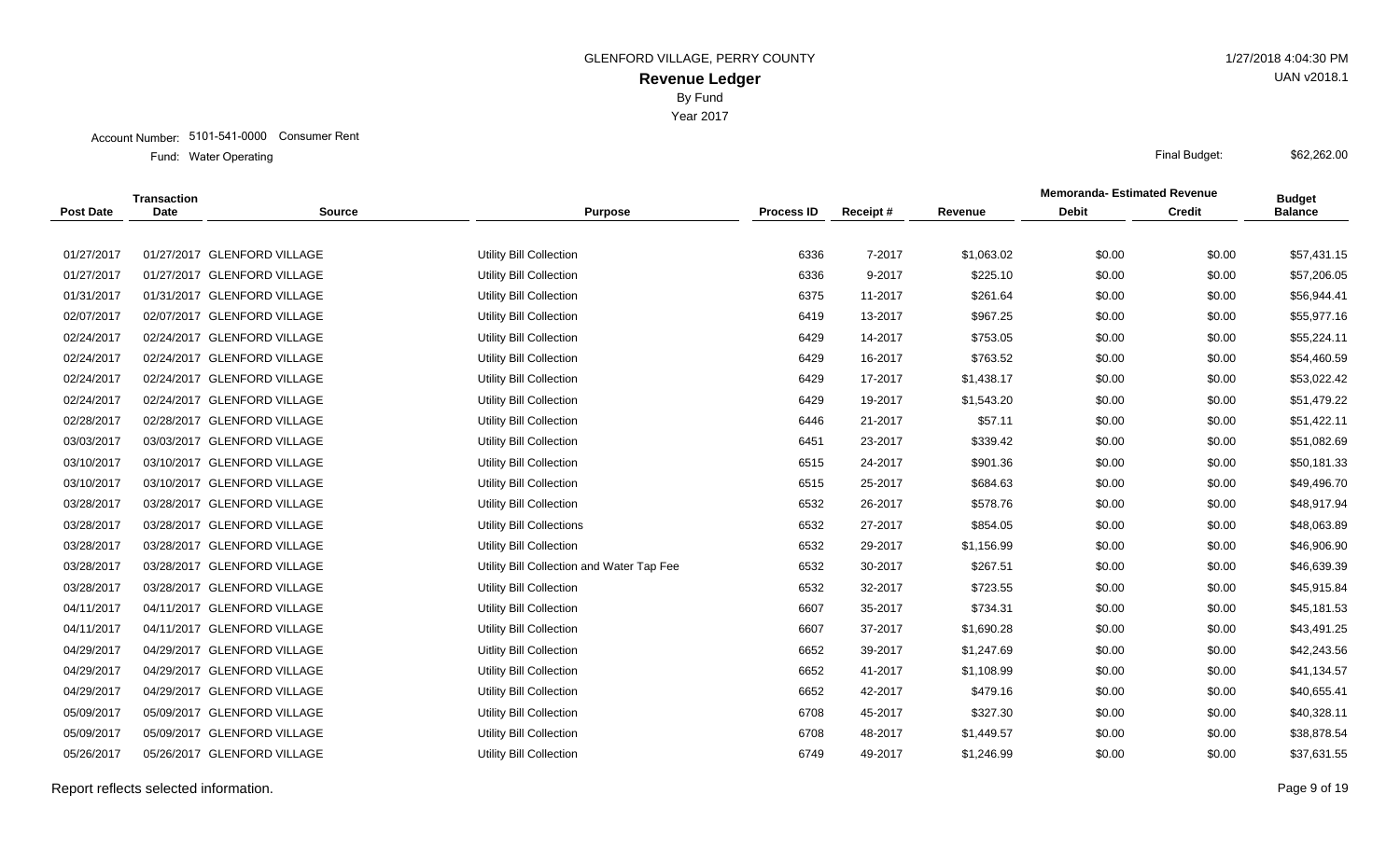Account Number: 5101-541-0000 Consumer Rent

Water Operating Final Budget: Fund: Water Operating

|                  | Transaction |                             |                                           |                   |          |            | <b>Memoranda-Estimated Revenue</b> |               | <b>Budget</b>  |
|------------------|-------------|-----------------------------|-------------------------------------------|-------------------|----------|------------|------------------------------------|---------------|----------------|
| <b>Post Date</b> | <b>Date</b> | <b>Source</b>               | <b>Purpose</b>                            | <b>Process ID</b> | Receipt# | Revenue    | <b>Debit</b>                       | <b>Credit</b> | <b>Balance</b> |
|                  |             |                             |                                           |                   |          |            |                                    |               |                |
| 01/27/2017       |             | 01/27/2017 GLENFORD VILLAGE | <b>Utility Bill Collection</b>            | 6336              | 7-2017   | \$1,063.02 | \$0.00                             | \$0.00        | \$57,431.15    |
| 01/27/2017       |             | 01/27/2017 GLENFORD VILLAGE | <b>Utility Bill Collection</b>            | 6336              | 9-2017   | \$225.10   | \$0.00                             | \$0.00        | \$57,206.05    |
| 01/31/2017       |             | 01/31/2017 GLENFORD VILLAGE | Utility Bill Collection                   | 6375              | 11-2017  | \$261.64   | \$0.00                             | \$0.00        | \$56,944.41    |
| 02/07/2017       |             | 02/07/2017 GLENFORD VILLAGE | Utility Bill Collection                   | 6419              | 13-2017  | \$967.25   | \$0.00                             | \$0.00        | \$55,977.16    |
| 02/24/2017       |             | 02/24/2017 GLENFORD VILLAGE | Utility Bill Collection                   | 6429              | 14-2017  | \$753.05   | \$0.00                             | \$0.00        | \$55,224.11    |
| 02/24/2017       |             | 02/24/2017 GLENFORD VILLAGE | <b>Utility Bill Collection</b>            | 6429              | 16-2017  | \$763.52   | \$0.00                             | \$0.00        | \$54,460.59    |
| 02/24/2017       |             | 02/24/2017 GLENFORD VILLAGE | Utility Bill Collection                   | 6429              | 17-2017  | \$1,438.17 | \$0.00                             | \$0.00        | \$53,022.42    |
| 02/24/2017       |             | 02/24/2017 GLENFORD VILLAGE | Utility Bill Collection                   | 6429              | 19-2017  | \$1,543.20 | \$0.00                             | \$0.00        | \$51,479.22    |
| 02/28/2017       |             | 02/28/2017 GLENFORD VILLAGE | <b>Utility Bill Collection</b>            | 6446              | 21-2017  | \$57.11    | \$0.00                             | \$0.00        | \$51,422.11    |
| 03/03/2017       |             | 03/03/2017 GLENFORD VILLAGE | Utility Bill Collection                   | 6451              | 23-2017  | \$339.42   | \$0.00                             | \$0.00        | \$51,082.69    |
| 03/10/2017       |             | 03/10/2017 GLENFORD VILLAGE | <b>Utility Bill Collection</b>            | 6515              | 24-2017  | \$901.36   | \$0.00                             | \$0.00        | \$50,181.33    |
| 03/10/2017       |             | 03/10/2017 GLENFORD VILLAGE | <b>Utility Bill Collection</b>            | 6515              | 25-2017  | \$684.63   | \$0.00                             | \$0.00        | \$49,496.70    |
| 03/28/2017       |             | 03/28/2017 GLENFORD VILLAGE | Utility Bill Collection                   | 6532              | 26-2017  | \$578.76   | \$0.00                             | \$0.00        | \$48,917.94    |
| 03/28/2017       |             | 03/28/2017 GLENFORD VILLAGE | <b>Utility Bill Collections</b>           | 6532              | 27-2017  | \$854.05   | \$0.00                             | \$0.00        | \$48,063.89    |
| 03/28/2017       |             | 03/28/2017 GLENFORD VILLAGE | <b>Utility Bill Collection</b>            | 6532              | 29-2017  | \$1,156.99 | \$0.00                             | \$0.00        | \$46,906.90    |
| 03/28/2017       |             | 03/28/2017 GLENFORD VILLAGE | Utility Bill Collection and Water Tap Fee | 6532              | 30-2017  | \$267.51   | \$0.00                             | \$0.00        | \$46,639.39    |
| 03/28/2017       |             | 03/28/2017 GLENFORD VILLAGE | Utility Bill Collection                   | 6532              | 32-2017  | \$723.55   | \$0.00                             | \$0.00        | \$45,915.84    |
| 04/11/2017       |             | 04/11/2017 GLENFORD VILLAGE | Utility Bill Collection                   | 6607              | 35-2017  | \$734.31   | \$0.00                             | \$0.00        | \$45,181.53    |
| 04/11/2017       |             | 04/11/2017 GLENFORD VILLAGE | <b>Utility Bill Collection</b>            | 6607              | 37-2017  | \$1,690.28 | \$0.00                             | \$0.00        | \$43,491.25    |
| 04/29/2017       |             | 04/29/2017 GLENFORD VILLAGE | Uitlity Bill Collection                   | 6652              | 39-2017  | \$1,247.69 | \$0.00                             | \$0.00        | \$42,243.56    |
| 04/29/2017       |             | 04/29/2017 GLENFORD VILLAGE | <b>Utility Bill Collection</b>            | 6652              | 41-2017  | \$1,108.99 | \$0.00                             | \$0.00        | \$41,134.57    |
| 04/29/2017       |             | 04/29/2017 GLENFORD VILLAGE | Utility Bill Collection                   | 6652              | 42-2017  | \$479.16   | \$0.00                             | \$0.00        | \$40,655.41    |
| 05/09/2017       |             | 05/09/2017 GLENFORD VILLAGE | Utility Bill Collection                   | 6708              | 45-2017  | \$327.30   | \$0.00                             | \$0.00        | \$40,328.11    |
| 05/09/2017       |             | 05/09/2017 GLENFORD VILLAGE | <b>Utility Bill Collection</b>            | 6708              | 48-2017  | \$1,449.57 | \$0.00                             | \$0.00        | \$38,878.54    |
| 05/26/2017       |             | 05/26/2017 GLENFORD VILLAGE | <b>Utility Bill Collection</b>            | 6749              | 49-2017  | \$1,246.99 | \$0.00                             | \$0.00        | \$37,631.55    |
|                  |             |                             |                                           |                   |          |            |                                    |               |                |

Report reflects selected information. Page 9 of 19

UAN v2018.1

\$62,262.00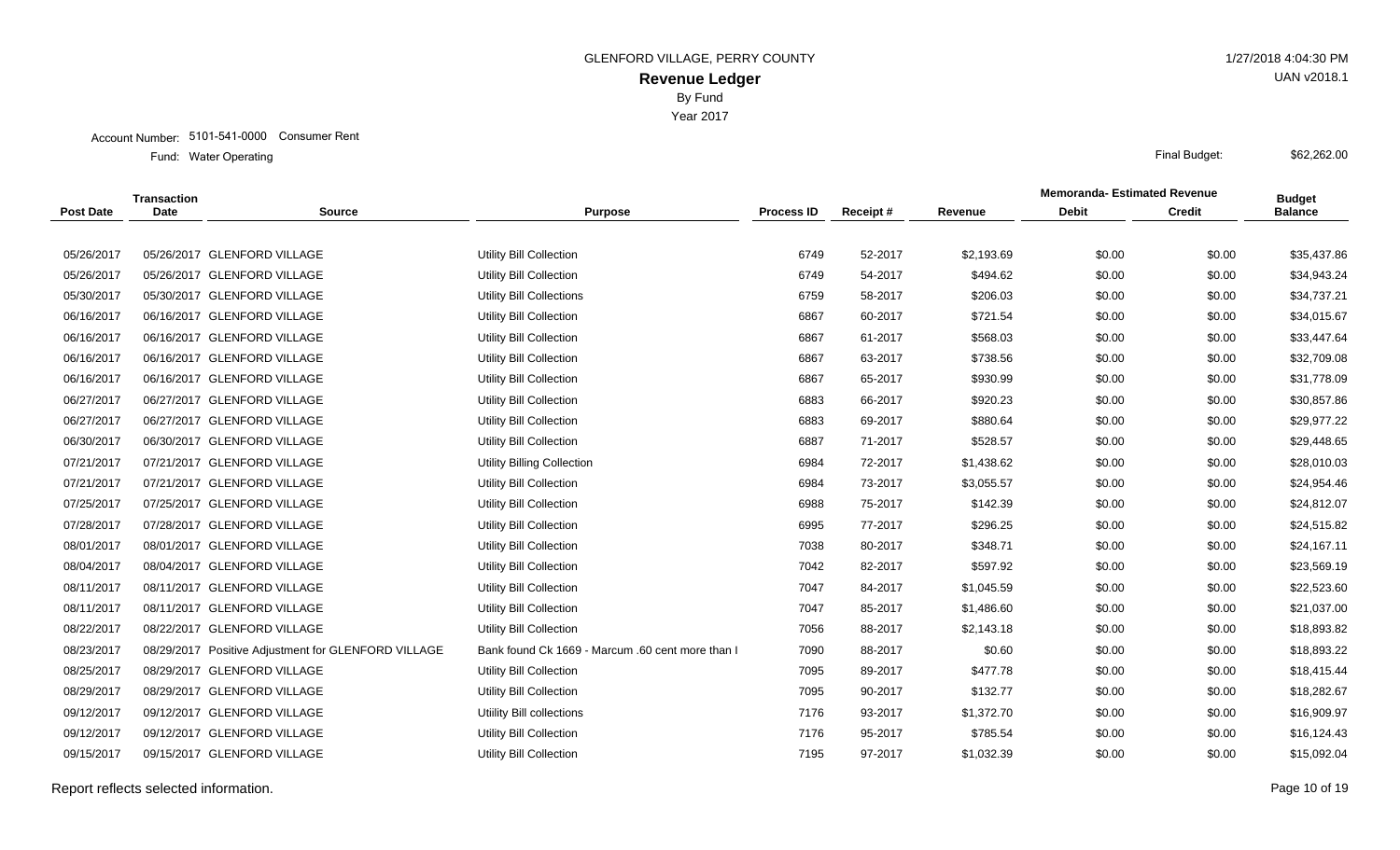Account Number: 5101-541-0000 Consumer Rent

Water Operating Final Budget: Fund: Water Operating

|                  | <b>Transaction</b> |                                                     |                                                  |                   |          |            | <b>Memoranda-Estimated Revenue</b> |               | <b>Budget</b>  |
|------------------|--------------------|-----------------------------------------------------|--------------------------------------------------|-------------------|----------|------------|------------------------------------|---------------|----------------|
| <b>Post Date</b> | <b>Date</b>        | <b>Source</b>                                       | <b>Purpose</b>                                   | <b>Process ID</b> | Receipt# | Revenue    | <b>Debit</b>                       | <b>Credit</b> | <b>Balance</b> |
|                  |                    |                                                     |                                                  |                   |          |            |                                    |               |                |
| 05/26/2017       |                    | 05/26/2017 GLENFORD VILLAGE                         | <b>Utility Bill Collection</b>                   | 6749              | 52-2017  | \$2,193.69 | \$0.00                             | \$0.00        | \$35,437.86    |
| 05/26/2017       |                    | 05/26/2017 GLENFORD VILLAGE                         | <b>Utility Bill Collection</b>                   | 6749              | 54-2017  | \$494.62   | \$0.00                             | \$0.00        | \$34,943.24    |
| 05/30/2017       |                    | 05/30/2017 GLENFORD VILLAGE                         | <b>Utility Bill Collections</b>                  | 6759              | 58-2017  | \$206.03   | \$0.00                             | \$0.00        | \$34,737.21    |
| 06/16/2017       |                    | 06/16/2017 GLENFORD VILLAGE                         | <b>Utility Bill Collection</b>                   | 6867              | 60-2017  | \$721.54   | \$0.00                             | \$0.00        | \$34,015.67    |
| 06/16/2017       |                    | 06/16/2017 GLENFORD VILLAGE                         | <b>Utility Bill Collection</b>                   | 6867              | 61-2017  | \$568.03   | \$0.00                             | \$0.00        | \$33,447.64    |
| 06/16/2017       |                    | 06/16/2017 GLENFORD VILLAGE                         | <b>Utility Bill Collection</b>                   | 6867              | 63-2017  | \$738.56   | \$0.00                             | \$0.00        | \$32,709.08    |
| 06/16/2017       |                    | 06/16/2017 GLENFORD VILLAGE                         | Utility Bill Collection                          | 6867              | 65-2017  | \$930.99   | \$0.00                             | \$0.00        | \$31,778.09    |
| 06/27/2017       |                    | 06/27/2017 GLENFORD VILLAGE                         | <b>Utility Bill Collection</b>                   | 6883              | 66-2017  | \$920.23   | \$0.00                             | \$0.00        | \$30,857.86    |
| 06/27/2017       |                    | 06/27/2017 GLENFORD VILLAGE                         | Utility Bill Collection                          | 6883              | 69-2017  | \$880.64   | \$0.00                             | \$0.00        | \$29,977.22    |
| 06/30/2017       |                    | 06/30/2017 GLENFORD VILLAGE                         | Utility Bill Collection                          | 6887              | 71-2017  | \$528.57   | \$0.00                             | \$0.00        | \$29,448.65    |
| 07/21/2017       |                    | 07/21/2017 GLENFORD VILLAGE                         | <b>Utility Billing Collection</b>                | 6984              | 72-2017  | \$1,438.62 | \$0.00                             | \$0.00        | \$28,010.03    |
| 07/21/2017       |                    | 07/21/2017 GLENFORD VILLAGE                         | Utility Bill Collection                          | 6984              | 73-2017  | \$3,055.57 | \$0.00                             | \$0.00        | \$24,954.46    |
| 07/25/2017       |                    | 07/25/2017 GLENFORD VILLAGE                         | Utility Bill Collection                          | 6988              | 75-2017  | \$142.39   | \$0.00                             | \$0.00        | \$24,812.07    |
| 07/28/2017       |                    | 07/28/2017 GLENFORD VILLAGE                         | Utility Bill Collection                          | 6995              | 77-2017  | \$296.25   | \$0.00                             | \$0.00        | \$24,515.82    |
| 08/01/2017       |                    | 08/01/2017 GLENFORD VILLAGE                         | <b>Utility Bill Collection</b>                   | 7038              | 80-2017  | \$348.71   | \$0.00                             | \$0.00        | \$24,167.11    |
| 08/04/2017       |                    | 08/04/2017 GLENFORD VILLAGE                         | <b>Utility Bill Collection</b>                   | 7042              | 82-2017  | \$597.92   | \$0.00                             | \$0.00        | \$23,569.19    |
| 08/11/2017       |                    | 08/11/2017 GLENFORD VILLAGE                         | <b>Utility Bill Collection</b>                   | 7047              | 84-2017  | \$1,045.59 | \$0.00                             | \$0.00        | \$22,523.60    |
| 08/11/2017       |                    | 08/11/2017 GLENFORD VILLAGE                         | <b>Utility Bill Collection</b>                   | 7047              | 85-2017  | \$1,486.60 | \$0.00                             | \$0.00        | \$21,037.00    |
| 08/22/2017       |                    | 08/22/2017 GLENFORD VILLAGE                         | Utility Bill Collection                          | 7056              | 88-2017  | \$2,143.18 | \$0.00                             | \$0.00        | \$18,893.82    |
| 08/23/2017       |                    | 08/29/2017 Positive Adjustment for GLENFORD VILLAGE | Bank found Ck 1669 - Marcum .60 cent more than I | 7090              | 88-2017  | \$0.60     | \$0.00                             | \$0.00        | \$18,893.22    |
| 08/25/2017       |                    | 08/29/2017 GLENFORD VILLAGE                         | <b>Utility Bill Collection</b>                   | 7095              | 89-2017  | \$477.78   | \$0.00                             | \$0.00        | \$18,415.44    |
| 08/29/2017       |                    | 08/29/2017 GLENFORD VILLAGE                         | Utility Bill Collection                          | 7095              | 90-2017  | \$132.77   | \$0.00                             | \$0.00        | \$18,282.67    |
| 09/12/2017       |                    | 09/12/2017 GLENFORD VILLAGE                         | Utiility Bill collections                        | 7176              | 93-2017  | \$1,372.70 | \$0.00                             | \$0.00        | \$16,909.97    |
| 09/12/2017       |                    | 09/12/2017 GLENFORD VILLAGE                         | <b>Utility Bill Collection</b>                   | 7176              | 95-2017  | \$785.54   | \$0.00                             | \$0.00        | \$16,124.43    |
| 09/15/2017       |                    | 09/15/2017 GLENFORD VILLAGE                         | Utility Bill Collection                          | 7195              | 97-2017  | \$1,032.39 | \$0.00                             | \$0.00        | \$15,092.04    |
|                  |                    |                                                     |                                                  |                   |          |            |                                    |               |                |

Report reflects selected information. Page 10 of 19

UAN v2018.1

\$62,262.00

# Year 2017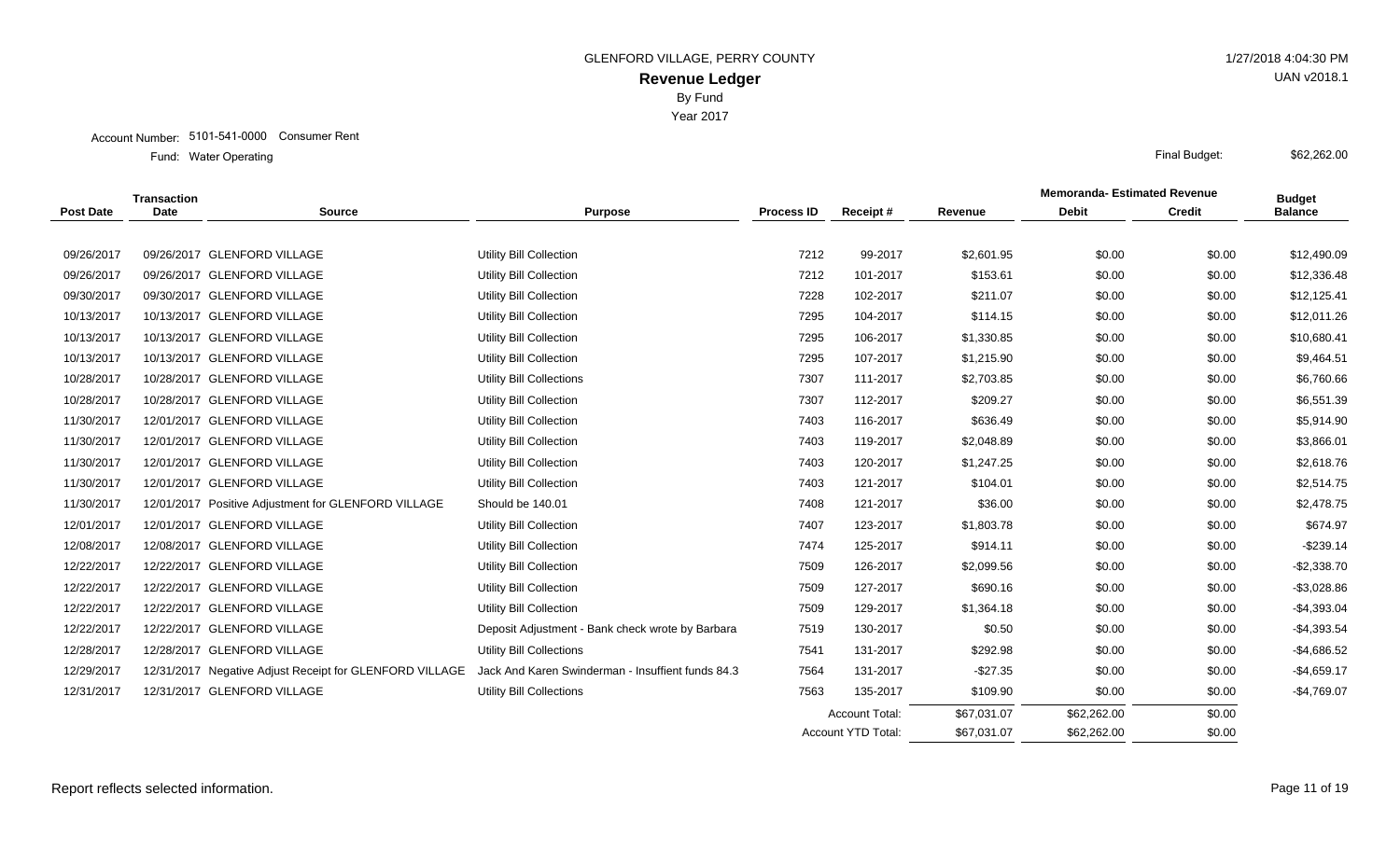|                  | <b>Transaction</b> |                                                         |                                                   |                   |                           |             | <b>Memoranda-Estimated Revenue</b> |               | <b>Budget</b>  |
|------------------|--------------------|---------------------------------------------------------|---------------------------------------------------|-------------------|---------------------------|-------------|------------------------------------|---------------|----------------|
| <b>Post Date</b> | <b>Date</b>        | <b>Source</b>                                           | <b>Purpose</b>                                    | <b>Process ID</b> | Receipt#                  | Revenue     | <b>Debit</b>                       | <b>Credit</b> | <b>Balance</b> |
|                  |                    |                                                         |                                                   |                   |                           |             |                                    |               |                |
| 09/26/2017       |                    | 09/26/2017 GLENFORD VILLAGE                             | Utility Bill Collection                           | 7212              | 99-2017                   | \$2,601.95  | \$0.00                             | \$0.00        | \$12,490.09    |
| 09/26/2017       |                    | 09/26/2017 GLENFORD VILLAGE                             | Utility Bill Collection                           | 7212              | 101-2017                  | \$153.61    | \$0.00                             | \$0.00        | \$12,336.48    |
| 09/30/2017       |                    | 09/30/2017 GLENFORD VILLAGE                             | Utility Bill Collection                           | 7228              | 102-2017                  | \$211.07    | \$0.00                             | \$0.00        | \$12,125.41    |
| 10/13/2017       |                    | 10/13/2017 GLENFORD VILLAGE                             | Utility Bill Collection                           | 7295              | 104-2017                  | \$114.15    | \$0.00                             | \$0.00        | \$12,011.26    |
| 10/13/2017       |                    | 10/13/2017 GLENFORD VILLAGE                             | Utility Bill Collection                           | 7295              | 106-2017                  | \$1,330.85  | \$0.00                             | \$0.00        | \$10,680.41    |
| 10/13/2017       |                    | 10/13/2017 GLENFORD VILLAGE                             | Utility Bill Collection                           | 7295              | 107-2017                  | \$1,215.90  | \$0.00                             | \$0.00        | \$9,464.51     |
| 10/28/2017       |                    | 10/28/2017 GLENFORD VILLAGE                             | <b>Utility Bill Collections</b>                   | 7307              | 111-2017                  | \$2,703.85  | \$0.00                             | \$0.00        | \$6,760.66     |
| 10/28/2017       |                    | 10/28/2017 GLENFORD VILLAGE                             | Utility Bill Collection                           | 7307              | 112-2017                  | \$209.27    | \$0.00                             | \$0.00        | \$6,551.39     |
| 11/30/2017       |                    | 12/01/2017 GLENFORD VILLAGE                             | Utility Bill Collection                           | 7403              | 116-2017                  | \$636.49    | \$0.00                             | \$0.00        | \$5,914.90     |
| 11/30/2017       |                    | 12/01/2017 GLENFORD VILLAGE                             | Utility Bill Collection                           | 7403              | 119-2017                  | \$2,048.89  | \$0.00                             | \$0.00        | \$3,866.01     |
| 11/30/2017       |                    | 12/01/2017 GLENFORD VILLAGE                             | Utility Bill Collection                           | 7403              | 120-2017                  | \$1,247.25  | \$0.00                             | \$0.00        | \$2,618.76     |
| 11/30/2017       |                    | 12/01/2017 GLENFORD VILLAGE                             | Utility Bill Collection                           | 7403              | 121-2017                  | \$104.01    | \$0.00                             | \$0.00        | \$2,514.75     |
| 11/30/2017       |                    | 12/01/2017 Positive Adjustment for GLENFORD VILLAGE     | Should be 140.01                                  | 7408              | 121-2017                  | \$36.00     | \$0.00                             | \$0.00        | \$2,478.75     |
| 12/01/2017       |                    | 12/01/2017 GLENFORD VILLAGE                             | Utility Bill Collection                           | 7407              | 123-2017                  | \$1,803.78  | \$0.00                             | \$0.00        | \$674.97       |
| 12/08/2017       |                    | 12/08/2017 GLENFORD VILLAGE                             | Utility Bill Collection                           | 7474              | 125-2017                  | \$914.11    | \$0.00                             | \$0.00        | $-$239.14$     |
| 12/22/2017       |                    | 12/22/2017 GLENFORD VILLAGE                             | Utility Bill Collection                           | 7509              | 126-2017                  | \$2,099.56  | \$0.00                             | \$0.00        | $-$ \$2,338.70 |
| 12/22/2017       |                    | 12/22/2017 GLENFORD VILLAGE                             | Utility Bill Collection                           | 7509              | 127-2017                  | \$690.16    | \$0.00                             | \$0.00        | $-$ \$3,028.86 |
| 12/22/2017       |                    | 12/22/2017 GLENFORD VILLAGE                             | Utility Bill Collection                           | 7509              | 129-2017                  | \$1,364.18  | \$0.00                             | \$0.00        | $-$4,393.04$   |
| 12/22/2017       |                    | 12/22/2017 GLENFORD VILLAGE                             | Deposit Adjustment - Bank check wrote by Barbara  | 7519              | 130-2017                  | \$0.50      | \$0.00                             | \$0.00        | $-$4,393.54$   |
| 12/28/2017       |                    | 12/28/2017 GLENFORD VILLAGE                             | Utility Bill Collections                          | 7541              | 131-2017                  | \$292.98    | \$0.00                             | \$0.00        | $-$ \$4,686.52 |
| 12/29/2017       |                    | 12/31/2017 Negative Adjust Receipt for GLENFORD VILLAGE | Jack And Karen Swinderman - Insuffient funds 84.3 | 7564              | 131-2017                  | $-$27.35$   | \$0.00                             | \$0.00        | $-$4,659.17$   |
| 12/31/2017       |                    | 12/31/2017 GLENFORD VILLAGE                             | <b>Utility Bill Collections</b>                   | 7563              | 135-2017                  | \$109.90    | \$0.00                             | \$0.00        | $-$4,769.07$   |
|                  |                    |                                                         |                                                   |                   | <b>Account Total:</b>     | \$67,031.07 | \$62,262.00                        | \$0.00        |                |
|                  |                    |                                                         |                                                   |                   | <b>Account YTD Total:</b> | \$67,031.07 | \$62,262.00                        | \$0.00        |                |

UAN v2018.1

\$62,262.00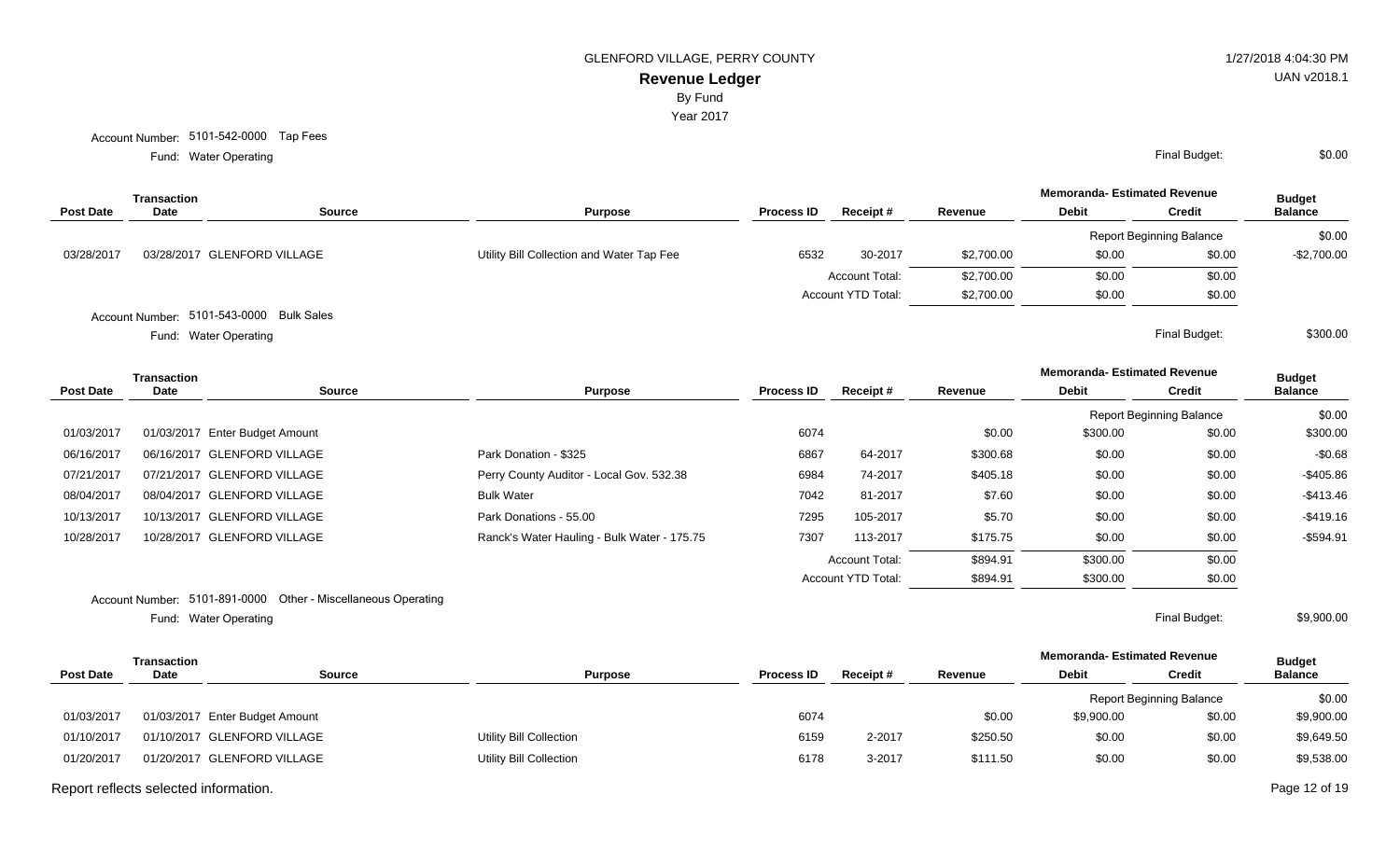By Fund

Year 2017

Account Number: 5101-542-0000 Tap Fees

Water Operating Final Budget: Fund: Water Operating

|                  | Transaction |                                          |                                           |                   |                           |            | <b>Memoranda- Estimated Revenue</b> |                                 | <b>Budget</b>  |
|------------------|-------------|------------------------------------------|-------------------------------------------|-------------------|---------------------------|------------|-------------------------------------|---------------------------------|----------------|
| <b>Post Date</b> | Date        | Source                                   | <b>Purpose</b>                            | <b>Process ID</b> | Receipt#                  | Revenue    | <b>Debit</b>                        | <b>Credit</b>                   | <b>Balance</b> |
|                  |             |                                          |                                           |                   |                           |            |                                     | <b>Report Beginning Balance</b> | \$0.00         |
| 03/28/2017       |             | 03/28/2017 GLENFORD VILLAGE              | Utility Bill Collection and Water Tap Fee | 6532              | 30-2017                   | \$2,700.00 | \$0.00                              | \$0.00                          | $-$2,700.00$   |
|                  |             |                                          |                                           |                   | <b>Account Total:</b>     | \$2,700.00 | \$0.00                              | \$0.00                          |                |
|                  |             |                                          |                                           |                   | <b>Account YTD Total:</b> | \$2,700.00 | \$0.00                              | \$0.00                          |                |
|                  |             | Account Number: 5101-543-0000 Bulk Sales |                                           |                   |                           |            |                                     |                                 |                |

Water Operating Final Budget: Fund: Water Operating

|                  | Transaction |                                |                                             |                   |                           |          | <b>Memoranda- Estimated Revenue</b> |                                 | <b>Budget</b>  |
|------------------|-------------|--------------------------------|---------------------------------------------|-------------------|---------------------------|----------|-------------------------------------|---------------------------------|----------------|
| <b>Post Date</b> | Date        | Source                         | <b>Purpose</b>                              | <b>Process ID</b> | Receipt#                  | Revenue  | Debit                               | <b>Credit</b>                   | <b>Balance</b> |
|                  |             |                                |                                             |                   |                           |          |                                     | <b>Report Beginning Balance</b> | \$0.00         |
| 01/03/2017       |             | 01/03/2017 Enter Budget Amount |                                             | 6074              |                           | \$0.00   | \$300.00                            | \$0.00                          | \$300.00       |
| 06/16/2017       |             | 06/16/2017 GLENFORD VILLAGE    | Park Donation - \$325                       | 6867              | 64-2017                   | \$300.68 | \$0.00                              | \$0.00                          | $-$0.68$       |
| 07/21/2017       |             | 07/21/2017 GLENFORD VILLAGE    | Perry County Auditor - Local Gov. 532.38    | 6984              | 74-2017                   | \$405.18 | \$0.00                              | \$0.00                          | $-$405.86$     |
| 08/04/2017       |             | 08/04/2017 GLENFORD VILLAGE    | <b>Bulk Water</b>                           | 7042              | 81-2017                   | \$7.60   | \$0.00                              | \$0.00                          | $-$ \$413.46   |
| 10/13/2017       |             | 10/13/2017 GLENFORD VILLAGE    | Park Donations - 55.00                      | 7295              | 105-2017                  | \$5.70   | \$0.00                              | \$0.00                          | $-$419.16$     |
| 10/28/2017       |             | 10/28/2017 GLENFORD VILLAGE    | Ranck's Water Hauling - Bulk Water - 175.75 | 7307              | 113-2017                  | \$175.75 | \$0.00                              | \$0.00                          | $-$594.91$     |
|                  |             |                                |                                             |                   | <b>Account Total:</b>     | \$894.91 | \$300.00                            | \$0.00                          |                |
|                  |             |                                |                                             |                   | <b>Account YTD Total:</b> | \$894.91 | \$300.00                            | \$0.00                          |                |
|                  |             |                                |                                             |                   |                           |          |                                     |                                 |                |

Account Number: 5101-891-0000 Other - Miscellaneous Operating

Water Operating Final Budget: Fund: Water Operating

\$9,900.00

| Transaction                    |                |                                                    |          |          | <b>Memoranda- Estimated Revenue</b> |        | <b>Budget</b>                   |
|--------------------------------|----------------|----------------------------------------------------|----------|----------|-------------------------------------|--------|---------------------------------|
| <b>Date</b><br><b>Source</b>   | <b>Purpose</b> | <b>Process ID</b>                                  | Receipt# | Revenue  | <b>Debit</b>                        | Credit | <b>Balance</b>                  |
|                                |                |                                                    |          |          |                                     |        | \$0.00                          |
| 01/03/2017 Enter Budget Amount |                | 6074                                               |          | \$0.00   | \$9,900.00                          | \$0.00 | \$9,900.00                      |
| 01/10/2017 GLENFORD VILLAGE    |                | 6159                                               | 2-2017   | \$250.50 | \$0.00                              | \$0.00 | \$9,649.50                      |
| 01/20/2017 GLENFORD VILLAGE    |                | 6178                                               | 3-2017   | \$111.50 | \$0.00                              | \$0.00 | \$9,538.00                      |
|                                |                | Utility Bill Collection<br>Utility Bill Collection |          |          |                                     |        | <b>Report Beginning Balance</b> |

Report reflects selected information. Page 12 of 19

UAN v2018.1

\$0.00

\$300.00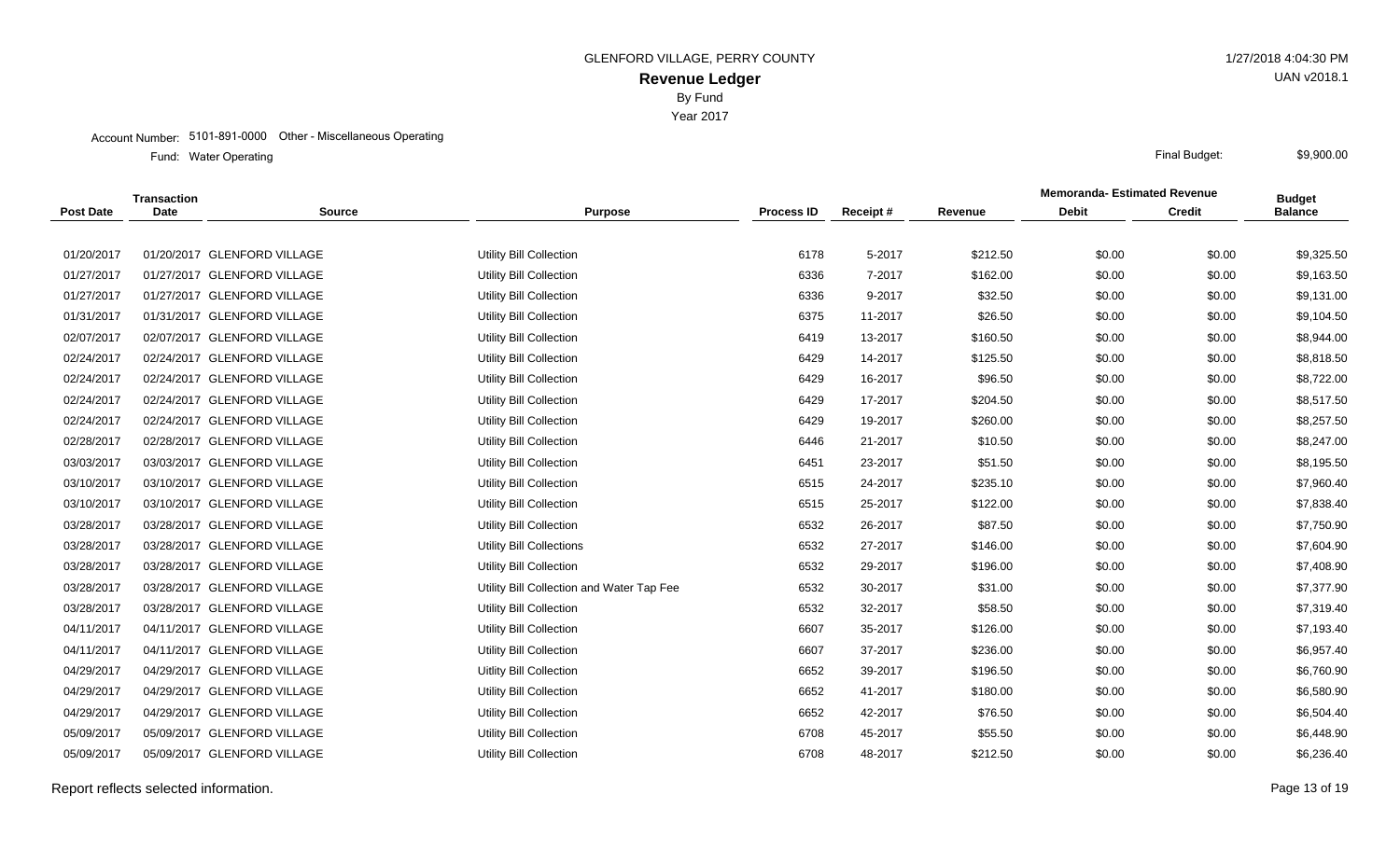Year 2017

#### Account Number: 5101-891-0000 Other - Miscellaneous Operating

Water Operating Final Budget: Fund: Water Operating

|                  | <b>Transaction</b> |                             |                                           |                   |          |          | <b>Memoranda- Estimated Revenue</b> |               | <b>Budget</b>  |
|------------------|--------------------|-----------------------------|-------------------------------------------|-------------------|----------|----------|-------------------------------------|---------------|----------------|
| <b>Post Date</b> | <b>Date</b>        | <b>Source</b>               | <b>Purpose</b>                            | <b>Process ID</b> | Receipt# | Revenue  | <b>Debit</b>                        | <b>Credit</b> | <b>Balance</b> |
|                  |                    |                             |                                           |                   |          |          |                                     |               |                |
| 01/20/2017       |                    | 01/20/2017 GLENFORD VILLAGE | Utility Bill Collection                   | 6178              | 5-2017   | \$212.50 | \$0.00                              | \$0.00        | \$9,325.50     |
| 01/27/2017       |                    | 01/27/2017 GLENFORD VILLAGE | Utility Bill Collection                   | 6336              | 7-2017   | \$162.00 | \$0.00                              | \$0.00        | \$9,163.50     |
| 01/27/2017       |                    | 01/27/2017 GLENFORD VILLAGE | Utility Bill Collection                   | 6336              | 9-2017   | \$32.50  | \$0.00                              | \$0.00        | \$9,131.00     |
| 01/31/2017       |                    | 01/31/2017 GLENFORD VILLAGE | Utility Bill Collection                   | 6375              | 11-2017  | \$26.50  | \$0.00                              | \$0.00        | \$9,104.50     |
| 02/07/2017       |                    | 02/07/2017 GLENFORD VILLAGE | Utility Bill Collection                   | 6419              | 13-2017  | \$160.50 | \$0.00                              | \$0.00        | \$8,944.00     |
| 02/24/2017       |                    | 02/24/2017 GLENFORD VILLAGE | <b>Utility Bill Collection</b>            | 6429              | 14-2017  | \$125.50 | \$0.00                              | \$0.00        | \$8,818.50     |
| 02/24/2017       |                    | 02/24/2017 GLENFORD VILLAGE | Utility Bill Collection                   | 6429              | 16-2017  | \$96.50  | \$0.00                              | \$0.00        | \$8,722.00     |
| 02/24/2017       |                    | 02/24/2017 GLENFORD VILLAGE | <b>Utility Bill Collection</b>            | 6429              | 17-2017  | \$204.50 | \$0.00                              | \$0.00        | \$8,517.50     |
| 02/24/2017       |                    | 02/24/2017 GLENFORD VILLAGE | <b>Utility Bill Collection</b>            | 6429              | 19-2017  | \$260.00 | \$0.00                              | \$0.00        | \$8,257.50     |
| 02/28/2017       |                    | 02/28/2017 GLENFORD VILLAGE | Utility Bill Collection                   | 6446              | 21-2017  | \$10.50  | \$0.00                              | \$0.00        | \$8,247.00     |
| 03/03/2017       |                    | 03/03/2017 GLENFORD VILLAGE | Utility Bill Collection                   | 6451              | 23-2017  | \$51.50  | \$0.00                              | \$0.00        | \$8,195.50     |
| 03/10/2017       |                    | 03/10/2017 GLENFORD VILLAGE | Utility Bill Collection                   | 6515              | 24-2017  | \$235.10 | \$0.00                              | \$0.00        | \$7,960.40     |
| 03/10/2017       |                    | 03/10/2017 GLENFORD VILLAGE | Utility Bill Collection                   | 6515              | 25-2017  | \$122.00 | \$0.00                              | \$0.00        | \$7,838.40     |
| 03/28/2017       |                    | 03/28/2017 GLENFORD VILLAGE | <b>Utility Bill Collection</b>            | 6532              | 26-2017  | \$87.50  | \$0.00                              | \$0.00        | \$7,750.90     |
| 03/28/2017       |                    | 03/28/2017 GLENFORD VILLAGE | <b>Utility Bill Collections</b>           | 6532              | 27-2017  | \$146.00 | \$0.00                              | \$0.00        | \$7,604.90     |
| 03/28/2017       |                    | 03/28/2017 GLENFORD VILLAGE | Utility Bill Collection                   | 6532              | 29-2017  | \$196.00 | \$0.00                              | \$0.00        | \$7,408.90     |
| 03/28/2017       |                    | 03/28/2017 GLENFORD VILLAGE | Utility Bill Collection and Water Tap Fee | 6532              | 30-2017  | \$31.00  | \$0.00                              | \$0.00        | \$7,377.90     |
| 03/28/2017       |                    | 03/28/2017 GLENFORD VILLAGE | Utility Bill Collection                   | 6532              | 32-2017  | \$58.50  | \$0.00                              | \$0.00        | \$7,319.40     |
| 04/11/2017       |                    | 04/11/2017 GLENFORD VILLAGE | Utility Bill Collection                   | 6607              | 35-2017  | \$126.00 | \$0.00                              | \$0.00        | \$7,193.40     |
| 04/11/2017       |                    | 04/11/2017 GLENFORD VILLAGE | Utility Bill Collection                   | 6607              | 37-2017  | \$236.00 | \$0.00                              | \$0.00        | \$6,957.40     |
| 04/29/2017       |                    | 04/29/2017 GLENFORD VILLAGE | Uitlity Bill Collection                   | 6652              | 39-2017  | \$196.50 | \$0.00                              | \$0.00        | \$6,760.90     |
| 04/29/2017       |                    | 04/29/2017 GLENFORD VILLAGE | Utility Bill Collection                   | 6652              | 41-2017  | \$180.00 | \$0.00                              | \$0.00        | \$6,580.90     |
| 04/29/2017       |                    | 04/29/2017 GLENFORD VILLAGE | <b>Utility Bill Collection</b>            | 6652              | 42-2017  | \$76.50  | \$0.00                              | \$0.00        | \$6,504.40     |
| 05/09/2017       |                    | 05/09/2017 GLENFORD VILLAGE | <b>Utility Bill Collection</b>            | 6708              | 45-2017  | \$55.50  | \$0.00                              | \$0.00        | \$6,448.90     |
| 05/09/2017       |                    | 05/09/2017 GLENFORD VILLAGE | Utility Bill Collection                   | 6708              | 48-2017  | \$212.50 | \$0.00                              | \$0.00        | \$6,236.40     |

Report reflects selected information. Page 13 of 19

UAN v2018.1

\$9,900.00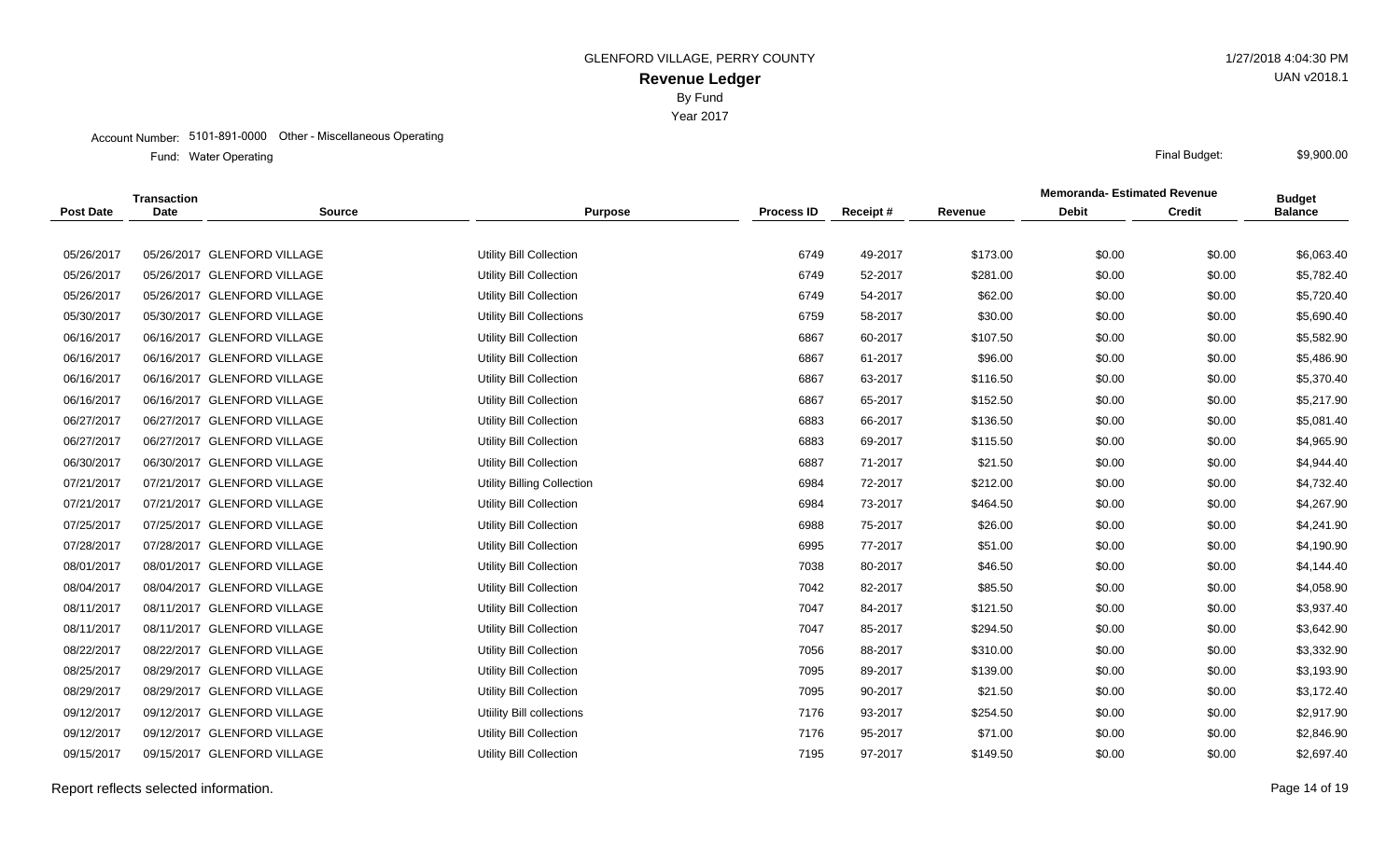Year 2017

#### Account Number: 5101-891-0000 Other - Miscellaneous Operating

Water Operating Final Budget: Fund: Water Operating

|                  | <b>Transaction</b> |                             |                                 |                   |          |          | <b>Memoranda- Estimated Revenue</b> |               | <b>Budget</b>  |
|------------------|--------------------|-----------------------------|---------------------------------|-------------------|----------|----------|-------------------------------------|---------------|----------------|
| <b>Post Date</b> | <b>Date</b>        | <b>Source</b>               | <b>Purpose</b>                  | <b>Process ID</b> | Receipt# | Revenue  | <b>Debit</b>                        | <b>Credit</b> | <b>Balance</b> |
|                  |                    |                             |                                 |                   |          |          |                                     |               |                |
| 05/26/2017       |                    | 05/26/2017 GLENFORD VILLAGE | Utility Bill Collection         | 6749              | 49-2017  | \$173.00 | \$0.00                              | \$0.00        | \$6,063.40     |
| 05/26/2017       |                    | 05/26/2017 GLENFORD VILLAGE | <b>Utility Bill Collection</b>  | 6749              | 52-2017  | \$281.00 | \$0.00                              | \$0.00        | \$5,782.40     |
| 05/26/2017       |                    | 05/26/2017 GLENFORD VILLAGE | <b>Utility Bill Collection</b>  | 6749              | 54-2017  | \$62.00  | \$0.00                              | \$0.00        | \$5,720.40     |
| 05/30/2017       |                    | 05/30/2017 GLENFORD VILLAGE | <b>Utility Bill Collections</b> | 6759              | 58-2017  | \$30.00  | \$0.00                              | \$0.00        | \$5,690.40     |
| 06/16/2017       |                    | 06/16/2017 GLENFORD VILLAGE | <b>Utility Bill Collection</b>  | 6867              | 60-2017  | \$107.50 | \$0.00                              | \$0.00        | \$5,582.90     |
| 06/16/2017       |                    | 06/16/2017 GLENFORD VILLAGE | <b>Utility Bill Collection</b>  | 6867              | 61-2017  | \$96.00  | \$0.00                              | \$0.00        | \$5,486.90     |
| 06/16/2017       |                    | 06/16/2017 GLENFORD VILLAGE | <b>Utility Bill Collection</b>  | 6867              | 63-2017  | \$116.50 | \$0.00                              | \$0.00        | \$5,370.40     |
| 06/16/2017       |                    | 06/16/2017 GLENFORD VILLAGE | Utility Bill Collection         | 6867              | 65-2017  | \$152.50 | \$0.00                              | \$0.00        | \$5,217.90     |
| 06/27/2017       |                    | 06/27/2017 GLENFORD VILLAGE | <b>Utility Bill Collection</b>  | 6883              | 66-2017  | \$136.50 | \$0.00                              | \$0.00        | \$5,081.40     |
| 06/27/2017       |                    | 06/27/2017 GLENFORD VILLAGE | <b>Utility Bill Collection</b>  | 6883              | 69-2017  | \$115.50 | \$0.00                              | \$0.00        | \$4,965.90     |
| 06/30/2017       |                    | 06/30/2017 GLENFORD VILLAGE | <b>Utility Bill Collection</b>  | 6887              | 71-2017  | \$21.50  | \$0.00                              | \$0.00        | \$4,944.40     |
| 07/21/2017       |                    | 07/21/2017 GLENFORD VILLAGE | Utility Billing Collection      | 6984              | 72-2017  | \$212.00 | \$0.00                              | \$0.00        | \$4,732.40     |
| 07/21/2017       |                    | 07/21/2017 GLENFORD VILLAGE | <b>Utility Bill Collection</b>  | 6984              | 73-2017  | \$464.50 | \$0.00                              | \$0.00        | \$4,267.90     |
| 07/25/2017       |                    | 07/25/2017 GLENFORD VILLAGE | <b>Utility Bill Collection</b>  | 6988              | 75-2017  | \$26.00  | \$0.00                              | \$0.00        | \$4,241.90     |
| 07/28/2017       |                    | 07/28/2017 GLENFORD VILLAGE | Utility Bill Collection         | 6995              | 77-2017  | \$51.00  | \$0.00                              | \$0.00        | \$4,190.90     |
| 08/01/2017       |                    | 08/01/2017 GLENFORD VILLAGE | <b>Utility Bill Collection</b>  | 7038              | 80-2017  | \$46.50  | \$0.00                              | \$0.00        | \$4,144.40     |
| 08/04/2017       |                    | 08/04/2017 GLENFORD VILLAGE | <b>Utility Bill Collection</b>  | 7042              | 82-2017  | \$85.50  | \$0.00                              | \$0.00        | \$4,058.90     |
| 08/11/2017       |                    | 08/11/2017 GLENFORD VILLAGE | Utility Bill Collection         | 7047              | 84-2017  | \$121.50 | \$0.00                              | \$0.00        | \$3,937.40     |
| 08/11/2017       |                    | 08/11/2017 GLENFORD VILLAGE | <b>Utility Bill Collection</b>  | 7047              | 85-2017  | \$294.50 | \$0.00                              | \$0.00        | \$3,642.90     |
| 08/22/2017       |                    | 08/22/2017 GLENFORD VILLAGE | <b>Utility Bill Collection</b>  | 7056              | 88-2017  | \$310.00 | \$0.00                              | \$0.00        | \$3,332.90     |
| 08/25/2017       |                    | 08/29/2017 GLENFORD VILLAGE | <b>Utility Bill Collection</b>  | 7095              | 89-2017  | \$139.00 | \$0.00                              | \$0.00        | \$3,193.90     |
| 08/29/2017       |                    | 08/29/2017 GLENFORD VILLAGE | Utility Bill Collection         | 7095              | 90-2017  | \$21.50  | \$0.00                              | \$0.00        | \$3,172.40     |
| 09/12/2017       |                    | 09/12/2017 GLENFORD VILLAGE | Utiility Bill collections       | 7176              | 93-2017  | \$254.50 | \$0.00                              | \$0.00        | \$2,917.90     |
| 09/12/2017       |                    | 09/12/2017 GLENFORD VILLAGE | Utility Bill Collection         | 7176              | 95-2017  | \$71.00  | \$0.00                              | \$0.00        | \$2,846.90     |
| 09/15/2017       |                    | 09/15/2017 GLENFORD VILLAGE | Utility Bill Collection         | 7195              | 97-2017  | \$149.50 | \$0.00                              | \$0.00        | \$2,697.40     |
|                  |                    |                             |                                 |                   |          |          |                                     |               |                |

Report reflects selected information. Page 14 of 19

UAN v2018.1

\$9,900.00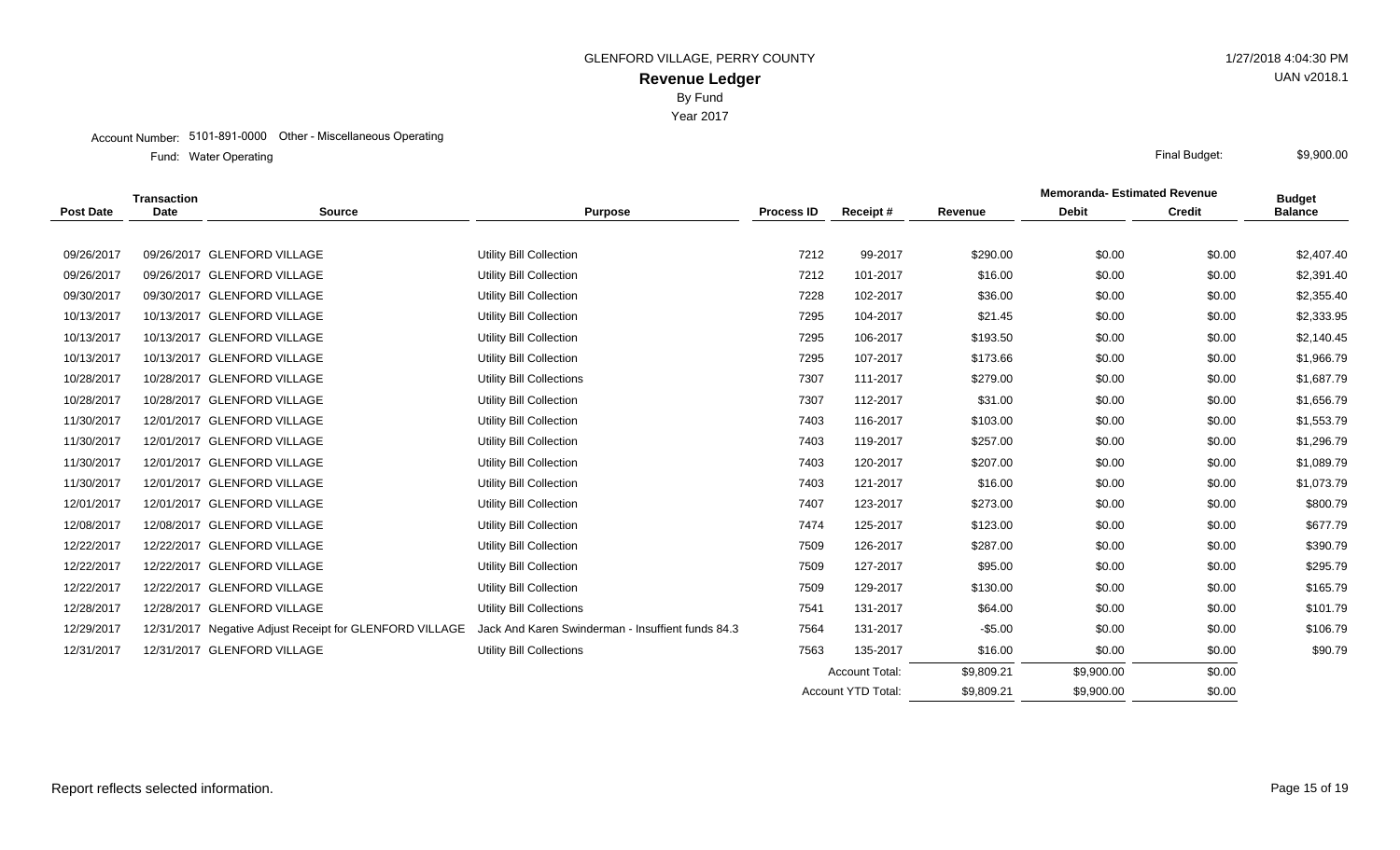Year 2017

#### Account Number: 5101-891-0000 Other - Miscellaneous Operating

Water Operating Final Budget: Fund: Water Operating

|                  | Transaction |                                                         |                                                   |                   |                           |            | <b>Memoranda-Estimated Revenue</b> |               | <b>Budget</b>  |
|------------------|-------------|---------------------------------------------------------|---------------------------------------------------|-------------------|---------------------------|------------|------------------------------------|---------------|----------------|
| <b>Post Date</b> | <b>Date</b> | <b>Source</b>                                           | <b>Purpose</b>                                    | <b>Process ID</b> | Receipt#                  | Revenue    | <b>Debit</b>                       | <b>Credit</b> | <b>Balance</b> |
|                  |             |                                                         |                                                   |                   |                           |            |                                    |               |                |
| 09/26/2017       |             | 09/26/2017 GLENFORD VILLAGE                             | Utility Bill Collection                           | 7212              | 99-2017                   | \$290.00   | \$0.00                             | \$0.00        | \$2,407.40     |
| 09/26/2017       |             | 09/26/2017 GLENFORD VILLAGE                             | Utility Bill Collection                           | 7212              | 101-2017                  | \$16.00    | \$0.00                             | \$0.00        | \$2,391.40     |
| 09/30/2017       |             | 09/30/2017 GLENFORD VILLAGE                             | Utility Bill Collection                           | 7228              | 102-2017                  | \$36.00    | \$0.00                             | \$0.00        | \$2,355.40     |
| 10/13/2017       |             | 10/13/2017 GLENFORD VILLAGE                             | Utility Bill Collection                           | 7295              | 104-2017                  | \$21.45    | \$0.00                             | \$0.00        | \$2,333.95     |
| 10/13/2017       |             | 10/13/2017 GLENFORD VILLAGE                             | Utility Bill Collection                           | 7295              | 106-2017                  | \$193.50   | \$0.00                             | \$0.00        | \$2,140.45     |
| 10/13/2017       |             | 10/13/2017 GLENFORD VILLAGE                             | Utility Bill Collection                           | 7295              | 107-2017                  | \$173.66   | \$0.00                             | \$0.00        | \$1,966.79     |
| 10/28/2017       |             | 10/28/2017 GLENFORD VILLAGE                             | Utility Bill Collections                          | 7307              | 111-2017                  | \$279.00   | \$0.00                             | \$0.00        | \$1,687.79     |
| 10/28/2017       |             | 10/28/2017 GLENFORD VILLAGE                             | Utility Bill Collection                           | 7307              | 112-2017                  | \$31.00    | \$0.00                             | \$0.00        | \$1,656.79     |
| 11/30/2017       |             | 12/01/2017 GLENFORD VILLAGE                             | Utility Bill Collection                           | 7403              | 116-2017                  | \$103.00   | \$0.00                             | \$0.00        | \$1,553.79     |
| 11/30/2017       |             | 12/01/2017 GLENFORD VILLAGE                             | Utility Bill Collection                           | 7403              | 119-2017                  | \$257.00   | \$0.00                             | \$0.00        | \$1,296.79     |
| 11/30/2017       |             | 12/01/2017 GLENFORD VILLAGE                             | Utility Bill Collection                           | 7403              | 120-2017                  | \$207.00   | \$0.00                             | \$0.00        | \$1,089.79     |
| 11/30/2017       |             | 12/01/2017 GLENFORD VILLAGE                             | Utility Bill Collection                           | 7403              | 121-2017                  | \$16.00    | \$0.00                             | \$0.00        | \$1,073.79     |
| 12/01/2017       |             | 12/01/2017 GLENFORD VILLAGE                             | Utility Bill Collection                           | 7407              | 123-2017                  | \$273.00   | \$0.00                             | \$0.00        | \$800.79       |
| 12/08/2017       |             | 12/08/2017 GLENFORD VILLAGE                             | Utility Bill Collection                           | 7474              | 125-2017                  | \$123.00   | \$0.00                             | \$0.00        | \$677.79       |
| 12/22/2017       |             | 12/22/2017 GLENFORD VILLAGE                             | Utility Bill Collection                           | 7509              | 126-2017                  | \$287.00   | \$0.00                             | \$0.00        | \$390.79       |
| 12/22/2017       |             | 12/22/2017 GLENFORD VILLAGE                             | Utility Bill Collection                           | 7509              | 127-2017                  | \$95.00    | \$0.00                             | \$0.00        | \$295.79       |
| 12/22/2017       |             | 12/22/2017 GLENFORD VILLAGE                             | Utility Bill Collection                           | 7509              | 129-2017                  | \$130.00   | \$0.00                             | \$0.00        | \$165.79       |
| 12/28/2017       |             | 12/28/2017 GLENFORD VILLAGE                             | Utility Bill Collections                          | 7541              | 131-2017                  | \$64.00    | \$0.00                             | \$0.00        | \$101.79       |
| 12/29/2017       |             | 12/31/2017 Negative Adjust Receipt for GLENFORD VILLAGE | Jack And Karen Swinderman - Insuffient funds 84.3 | 7564              | 131-2017                  | $-$ \$5.00 | \$0.00                             | \$0.00        | \$106.79       |
| 12/31/2017       |             | 12/31/2017 GLENFORD VILLAGE                             | Utility Bill Collections                          | 7563              | 135-2017                  | \$16.00    | \$0.00                             | \$0.00        | \$90.79        |
|                  |             |                                                         |                                                   |                   | <b>Account Total:</b>     | \$9,809.21 | \$9,900.00                         | \$0.00        |                |
|                  |             |                                                         |                                                   |                   | <b>Account YTD Total:</b> | \$9,809.21 | \$9,900.00                         | \$0.00        |                |

\$9,900.00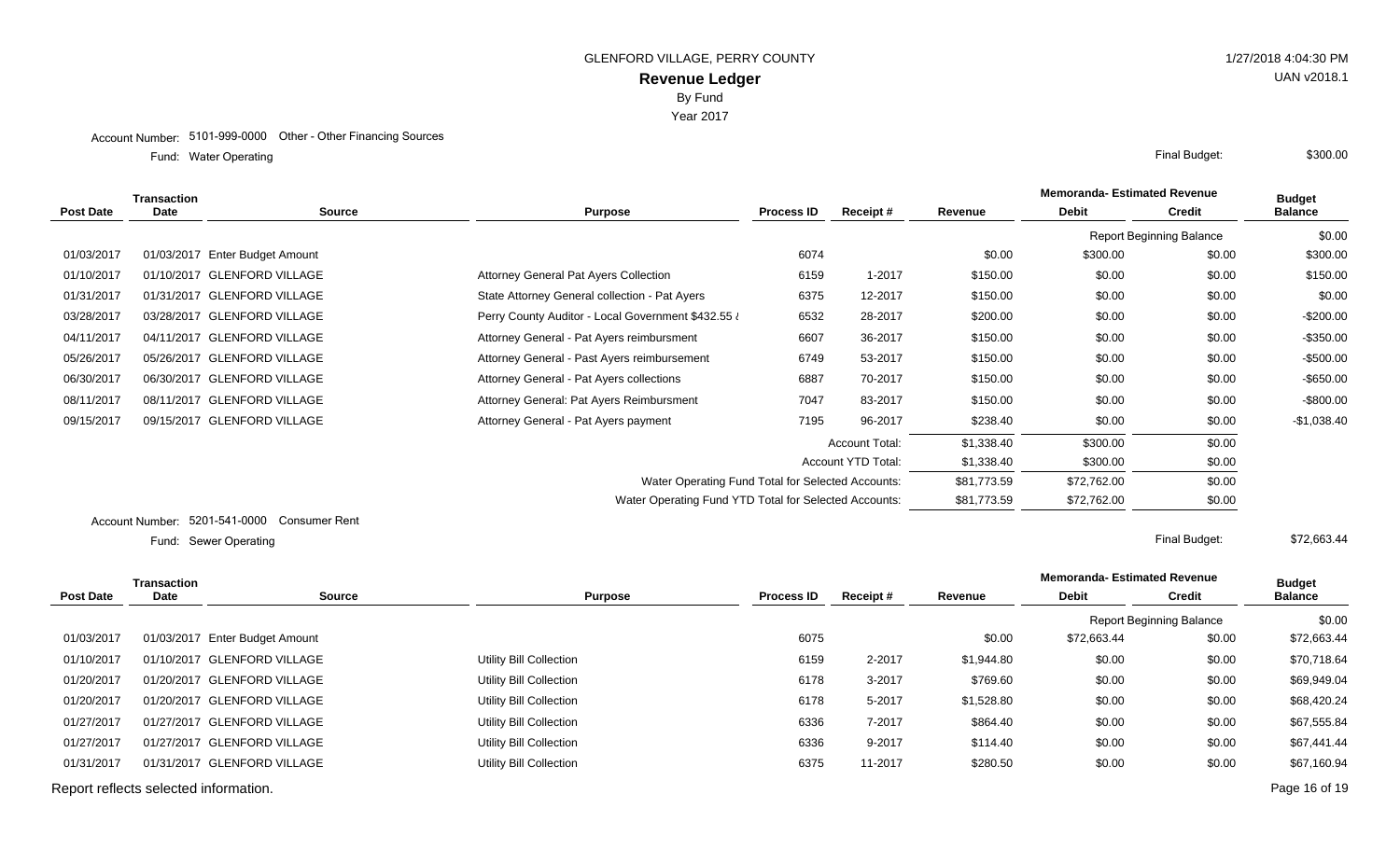#### Account Number: 5101-999-0000 Other - Other Financing Sources

Water Operating Final Budget: Fund: Water Operating

|            | <b>Transaction</b> |                                |                                                       |                   |                       |             | <b>Memoranda- Estimated Revenue</b> |                                 | <b>Budget</b>  |
|------------|--------------------|--------------------------------|-------------------------------------------------------|-------------------|-----------------------|-------------|-------------------------------------|---------------------------------|----------------|
| Post Date  | Date               | <b>Source</b>                  | <b>Purpose</b>                                        | <b>Process ID</b> | Receipt #             | Revenue     | <b>Debit</b>                        | <b>Credit</b>                   | <b>Balance</b> |
|            |                    |                                |                                                       |                   |                       |             |                                     | <b>Report Beginning Balance</b> | \$0.00         |
| 01/03/2017 |                    | 01/03/2017 Enter Budget Amount |                                                       | 6074              |                       | \$0.00      | \$300.00                            | \$0.00                          | \$300.00       |
| 01/10/2017 |                    | 01/10/2017 GLENFORD VILLAGE    | <b>Attorney General Pat Ayers Collection</b>          | 6159              | 1-2017                | \$150.00    | \$0.00                              | \$0.00                          | \$150.00       |
| 01/31/2017 |                    | 01/31/2017 GLENFORD VILLAGE    | State Attorney General collection - Pat Ayers         | 6375              | 12-2017               | \$150.00    | \$0.00                              | \$0.00                          | \$0.00         |
| 03/28/2017 |                    | 03/28/2017 GLENFORD VILLAGE    | Perry County Auditor - Local Government \$432.55 i    | 6532              | 28-2017               | \$200.00    | \$0.00                              | \$0.00                          | $-$200.00$     |
| 04/11/2017 |                    | 04/11/2017 GLENFORD VILLAGE    | Attorney General - Pat Ayers reimbursment             | 6607              | 36-2017               | \$150.00    | \$0.00                              | \$0.00                          | $-$350.00$     |
| 05/26/2017 |                    | 05/26/2017 GLENFORD VILLAGE    | Attorney General - Past Ayers reimbursement           | 6749              | 53-2017               | \$150.00    | \$0.00                              | \$0.00                          | $-$500.00$     |
| 06/30/2017 |                    | 06/30/2017 GLENFORD VILLAGE    | Attorney General - Pat Ayers collections              | 6887              | 70-2017               | \$150.00    | \$0.00                              | \$0.00                          | $-$ \$650.00   |
| 08/11/2017 |                    | 08/11/2017 GLENFORD VILLAGE    | Attorney General: Pat Ayers Reimbursment              | 7047              | 83-2017               | \$150.00    | \$0.00                              | \$0.00                          | $-$ \$800.00   |
| 09/15/2017 |                    | 09/15/2017 GLENFORD VILLAGE    | Attorney General - Pat Ayers payment                  | 7195              | 96-2017               | \$238.40    | \$0.00                              | \$0.00                          | $-$1,038.40$   |
|            |                    |                                |                                                       |                   | <b>Account Total:</b> | \$1,338.40  | \$300.00                            | \$0.00                          |                |
|            |                    |                                |                                                       |                   | Account YTD Total:    | \$1,338.40  | \$300.00                            | \$0.00                          |                |
|            |                    |                                | Water Operating Fund Total for Selected Accounts:     |                   |                       | \$81,773.59 | \$72,762.00                         | \$0.00                          |                |
|            |                    |                                | Water Operating Fund YTD Total for Selected Accounts: |                   |                       | \$81,773.59 | \$72,762.00                         | \$0.00                          |                |
|            |                    |                                |                                                       |                   |                       |             |                                     |                                 |                |

Account Number: 5201-541-0000 Consumer Rent

Sewer Operating Final Budget: Fund: Sewer Operating

|                                       | <b>Transaction</b> |                                |                         | <b>Process ID</b> | Receipt# |            | <b>Memoranda-Estimated Revenue</b> |               | <b>Budget</b>  |
|---------------------------------------|--------------------|--------------------------------|-------------------------|-------------------|----------|------------|------------------------------------|---------------|----------------|
| <b>Post Date</b>                      | <b>Date</b>        | <b>Source</b>                  | <b>Purpose</b>          |                   |          | Revenue    | <b>Debit</b>                       | <b>Credit</b> | <b>Balance</b> |
|                                       |                    |                                |                         |                   |          |            | <b>Report Beginning Balance</b>    |               | \$0.00         |
| 01/03/2017                            |                    | 01/03/2017 Enter Budget Amount |                         | 6075              |          | \$0.00     | \$72.663.44                        | \$0.00        | \$72,663.44    |
| 01/10/2017                            |                    | 01/10/2017 GLENFORD VILLAGE    | Utility Bill Collection | 6159              | 2-2017   | \$1,944.80 | \$0.00                             | \$0.00        | \$70,718.64    |
| 01/20/2017                            |                    | 01/20/2017 GLENFORD VILLAGE    | Utility Bill Collection | 6178              | 3-2017   | \$769.60   | \$0.00                             | \$0.00        | \$69,949.04    |
| 01/20/2017                            |                    | 01/20/2017 GLENFORD VILLAGE    | Utility Bill Collection | 6178              | 5-2017   | \$1,528.80 | \$0.00                             | \$0.00        | \$68,420.24    |
| 01/27/2017                            |                    | 01/27/2017 GLENFORD VILLAGE    | Utility Bill Collection | 6336              | 7-2017   | \$864.40   | \$0.00                             | \$0.00        | \$67,555.84    |
| 01/27/2017                            |                    | 01/27/2017 GLENFORD VILLAGE    | Utility Bill Collection | 6336              | 9-2017   | \$114.40   | \$0.00                             | \$0.00        | \$67,441.44    |
| 01/31/2017                            |                    | 01/31/2017 GLENFORD VILLAGE    | Utility Bill Collection | 6375              | 11-2017  | \$280.50   | \$0.00                             | \$0.00        | \$67,160.94    |
| Report reflects selected information. |                    |                                |                         |                   |          |            |                                    |               | Page 16 of 19  |

\$72,663.44

UAN v2018.1

\$300.00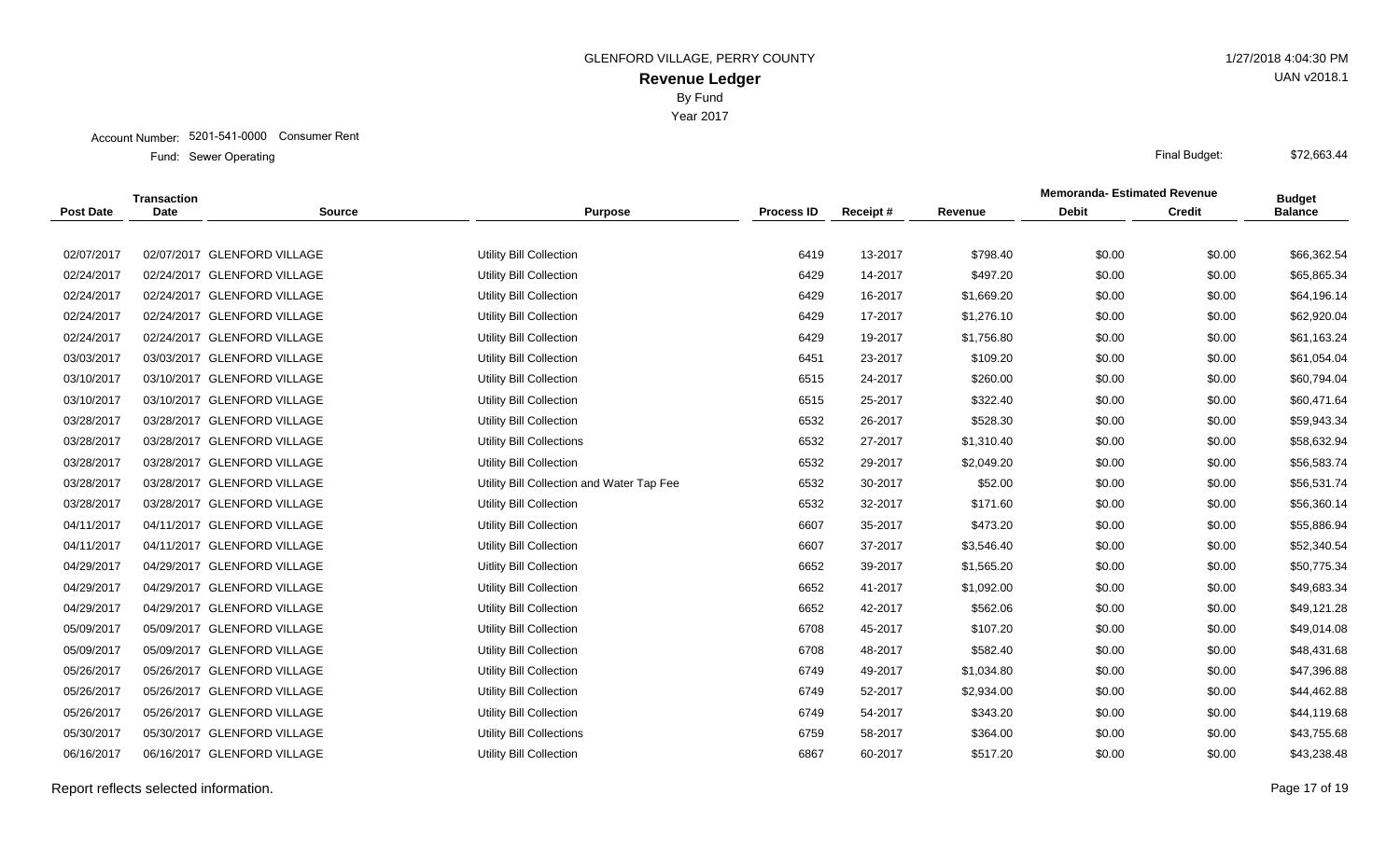Account Number: 5201-541-0000 Consumer Rent

|                  | <b>Transaction</b> |                             |                                           |                   |          |            | <b>Memoranda- Estimated Revenue</b> |               | <b>Budget</b>  |
|------------------|--------------------|-----------------------------|-------------------------------------------|-------------------|----------|------------|-------------------------------------|---------------|----------------|
| <b>Post Date</b> | <b>Date</b>        | <b>Source</b>               | <b>Purpose</b>                            | <b>Process ID</b> | Receipt# | Revenue    | <b>Debit</b>                        | <b>Credit</b> | <b>Balance</b> |
|                  |                    |                             |                                           |                   |          |            |                                     |               |                |
| 02/07/2017       |                    | 02/07/2017 GLENFORD VILLAGE | Utility Bill Collection                   | 6419              | 13-2017  | \$798.40   | \$0.00                              | \$0.00        | \$66,362.54    |
| 02/24/2017       |                    | 02/24/2017 GLENFORD VILLAGE | Utility Bill Collection                   | 6429              | 14-2017  | \$497.20   | \$0.00                              | \$0.00        | \$65,865.34    |
| 02/24/2017       |                    | 02/24/2017 GLENFORD VILLAGE | Utility Bill Collection                   | 6429              | 16-2017  | \$1,669.20 | \$0.00                              | \$0.00        | \$64,196.14    |
| 02/24/2017       |                    | 02/24/2017 GLENFORD VILLAGE | Utility Bill Collection                   | 6429              | 17-2017  | \$1,276.10 | \$0.00                              | \$0.00        | \$62,920.04    |
| 02/24/2017       |                    | 02/24/2017 GLENFORD VILLAGE | Utility Bill Collection                   | 6429              | 19-2017  | \$1,756.80 | \$0.00                              | \$0.00        | \$61,163.24    |
| 03/03/2017       |                    | 03/03/2017 GLENFORD VILLAGE | Utility Bill Collection                   | 6451              | 23-2017  | \$109.20   | \$0.00                              | \$0.00        | \$61,054.04    |
| 03/10/2017       |                    | 03/10/2017 GLENFORD VILLAGE | Utility Bill Collection                   | 6515              | 24-2017  | \$260.00   | \$0.00                              | \$0.00        | \$60,794.04    |
| 03/10/2017       |                    | 03/10/2017 GLENFORD VILLAGE | Utility Bill Collection                   | 6515              | 25-2017  | \$322.40   | \$0.00                              | \$0.00        | \$60,471.64    |
| 03/28/2017       |                    | 03/28/2017 GLENFORD VILLAGE | Utility Bill Collection                   | 6532              | 26-2017  | \$528.30   | \$0.00                              | \$0.00        | \$59,943.34    |
| 03/28/2017       |                    | 03/28/2017 GLENFORD VILLAGE | <b>Utility Bill Collections</b>           | 6532              | 27-2017  | \$1,310.40 | \$0.00                              | \$0.00        | \$58,632.94    |
| 03/28/2017       |                    | 03/28/2017 GLENFORD VILLAGE | Utility Bill Collection                   | 6532              | 29-2017  | \$2,049.20 | \$0.00                              | \$0.00        | \$56,583.74    |
| 03/28/2017       |                    | 03/28/2017 GLENFORD VILLAGE | Utility Bill Collection and Water Tap Fee | 6532              | 30-2017  | \$52.00    | \$0.00                              | \$0.00        | \$56,531.74    |
| 03/28/2017       |                    | 03/28/2017 GLENFORD VILLAGE | Utility Bill Collection                   | 6532              | 32-2017  | \$171.60   | \$0.00                              | \$0.00        | \$56,360.14    |
| 04/11/2017       |                    | 04/11/2017 GLENFORD VILLAGE | Utility Bill Collection                   | 6607              | 35-2017  | \$473.20   | \$0.00                              | \$0.00        | \$55,886.94    |
| 04/11/2017       |                    | 04/11/2017 GLENFORD VILLAGE | Utility Bill Collection                   | 6607              | 37-2017  | \$3,546.40 | \$0.00                              | \$0.00        | \$52,340.54    |
| 04/29/2017       |                    | 04/29/2017 GLENFORD VILLAGE | <b>Uitlity Bill Collection</b>            | 6652              | 39-2017  | \$1,565.20 | \$0.00                              | \$0.00        | \$50,775.34    |
| 04/29/2017       |                    | 04/29/2017 GLENFORD VILLAGE | Utility Bill Collection                   | 6652              | 41-2017  | \$1,092.00 | \$0.00                              | \$0.00        | \$49,683.34    |
| 04/29/2017       |                    | 04/29/2017 GLENFORD VILLAGE | Utility Bill Collection                   | 6652              | 42-2017  | \$562.06   | \$0.00                              | \$0.00        | \$49,121.28    |
| 05/09/2017       |                    | 05/09/2017 GLENFORD VILLAGE | Utility Bill Collection                   | 6708              | 45-2017  | \$107.20   | \$0.00                              | \$0.00        | \$49,014.08    |
| 05/09/2017       |                    | 05/09/2017 GLENFORD VILLAGE | Utility Bill Collection                   | 6708              | 48-2017  | \$582.40   | \$0.00                              | \$0.00        | \$48,431.68    |
| 05/26/2017       |                    | 05/26/2017 GLENFORD VILLAGE | Utility Bill Collection                   | 6749              | 49-2017  | \$1,034.80 | \$0.00                              | \$0.00        | \$47,396.88    |
| 05/26/2017       |                    | 05/26/2017 GLENFORD VILLAGE | Utility Bill Collection                   | 6749              | 52-2017  | \$2,934.00 | \$0.00                              | \$0.00        | \$44,462.88    |
| 05/26/2017       |                    | 05/26/2017 GLENFORD VILLAGE | <b>Utility Bill Collection</b>            | 6749              | 54-2017  | \$343.20   | \$0.00                              | \$0.00        | \$44,119.68    |
| 05/30/2017       |                    | 05/30/2017 GLENFORD VILLAGE | <b>Utility Bill Collections</b>           | 6759              | 58-2017  | \$364.00   | \$0.00                              | \$0.00        | \$43,755.68    |
| 06/16/2017       |                    | 06/16/2017 GLENFORD VILLAGE | Utility Bill Collection                   | 6867              | 60-2017  | \$517.20   | \$0.00                              | \$0.00        | \$43,238.48    |
|                  |                    |                             |                                           |                   |          |            |                                     |               |                |

Report reflects selected information. Page 17 of 19

UAN v2018.1

\$72,663.44

Year 2017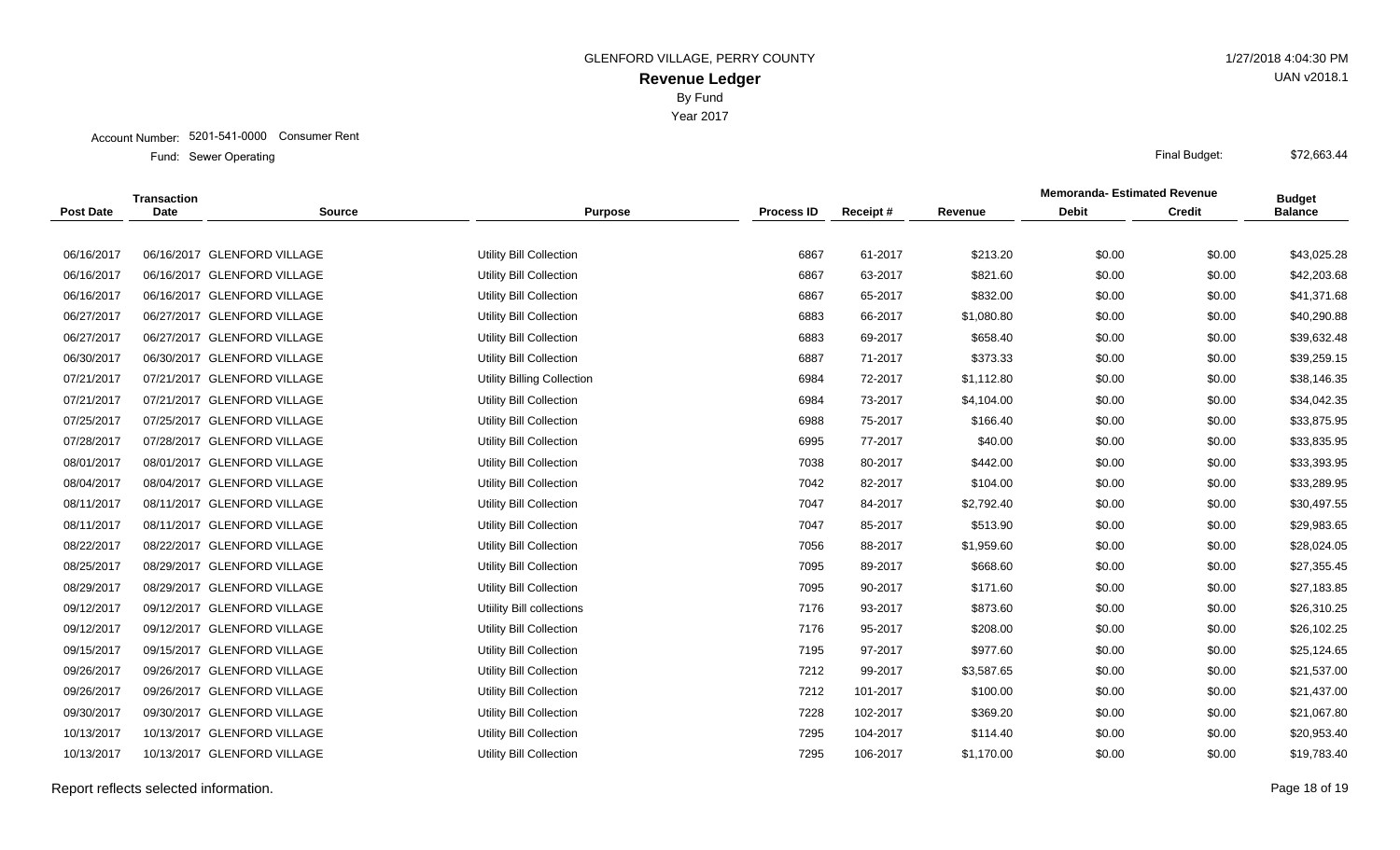Account Number: 5201-541-0000 Consumer Rent

Sewer Operating Final Budget: Fund: Sewer Operating

|                  | <b>Transaction</b> |                             |                                   |                   |          |            | <b>Memoranda-Estimated Revenue</b> |               | <b>Budget</b>  |
|------------------|--------------------|-----------------------------|-----------------------------------|-------------------|----------|------------|------------------------------------|---------------|----------------|
| <b>Post Date</b> | Date               | <b>Source</b>               | <b>Purpose</b>                    | <b>Process ID</b> | Receipt# | Revenue    | <b>Debit</b>                       | <b>Credit</b> | <b>Balance</b> |
|                  |                    |                             |                                   |                   |          |            |                                    |               |                |
| 06/16/2017       |                    | 06/16/2017 GLENFORD VILLAGE | Utility Bill Collection           | 6867              | 61-2017  | \$213.20   | \$0.00                             | \$0.00        | \$43,025.28    |
| 06/16/2017       |                    | 06/16/2017 GLENFORD VILLAGE | <b>Utility Bill Collection</b>    | 6867              | 63-2017  | \$821.60   | \$0.00                             | \$0.00        | \$42,203.68    |
| 06/16/2017       |                    | 06/16/2017 GLENFORD VILLAGE | <b>Utility Bill Collection</b>    | 6867              | 65-2017  | \$832.00   | \$0.00                             | \$0.00        | \$41,371.68    |
| 06/27/2017       |                    | 06/27/2017 GLENFORD VILLAGE | <b>Utility Bill Collection</b>    | 6883              | 66-2017  | \$1,080.80 | \$0.00                             | \$0.00        | \$40,290.88    |
| 06/27/2017       |                    | 06/27/2017 GLENFORD VILLAGE | <b>Utility Bill Collection</b>    | 6883              | 69-2017  | \$658.40   | \$0.00                             | \$0.00        | \$39,632.48    |
| 06/30/2017       |                    | 06/30/2017 GLENFORD VILLAGE | <b>Utility Bill Collection</b>    | 6887              | 71-2017  | \$373.33   | \$0.00                             | \$0.00        | \$39,259.15    |
| 07/21/2017       |                    | 07/21/2017 GLENFORD VILLAGE | <b>Utility Billing Collection</b> | 6984              | 72-2017  | \$1,112.80 | \$0.00                             | \$0.00        | \$38,146.35    |
| 07/21/2017       |                    | 07/21/2017 GLENFORD VILLAGE | <b>Utility Bill Collection</b>    | 6984              | 73-2017  | \$4,104.00 | \$0.00                             | \$0.00        | \$34,042.35    |
| 07/25/2017       |                    | 07/25/2017 GLENFORD VILLAGE | <b>Utility Bill Collection</b>    | 6988              | 75-2017  | \$166.40   | \$0.00                             | \$0.00        | \$33,875.95    |
| 07/28/2017       |                    | 07/28/2017 GLENFORD VILLAGE | Utility Bill Collection           | 6995              | 77-2017  | \$40.00    | \$0.00                             | \$0.00        | \$33,835.95    |
| 08/01/2017       |                    | 08/01/2017 GLENFORD VILLAGE | <b>Utility Bill Collection</b>    | 7038              | 80-2017  | \$442.00   | \$0.00                             | \$0.00        | \$33,393.95    |
| 08/04/2017       |                    | 08/04/2017 GLENFORD VILLAGE | <b>Utility Bill Collection</b>    | 7042              | 82-2017  | \$104.00   | \$0.00                             | \$0.00        | \$33,289.95    |
| 08/11/2017       |                    | 08/11/2017 GLENFORD VILLAGE | <b>Utility Bill Collection</b>    | 7047              | 84-2017  | \$2,792.40 | \$0.00                             | \$0.00        | \$30,497.55    |
| 08/11/2017       |                    | 08/11/2017 GLENFORD VILLAGE | <b>Utility Bill Collection</b>    | 7047              | 85-2017  | \$513.90   | \$0.00                             | \$0.00        | \$29,983.65    |
| 08/22/2017       |                    | 08/22/2017 GLENFORD VILLAGE | <b>Utility Bill Collection</b>    | 7056              | 88-2017  | \$1,959.60 | \$0.00                             | \$0.00        | \$28,024.05    |
| 08/25/2017       |                    | 08/29/2017 GLENFORD VILLAGE | <b>Utility Bill Collection</b>    | 7095              | 89-2017  | \$668.60   | \$0.00                             | \$0.00        | \$27,355.45    |
| 08/29/2017       |                    | 08/29/2017 GLENFORD VILLAGE | <b>Utility Bill Collection</b>    | 7095              | 90-2017  | \$171.60   | \$0.00                             | \$0.00        | \$27,183.85    |
| 09/12/2017       |                    | 09/12/2017 GLENFORD VILLAGE | Utiility Bill collections         | 7176              | 93-2017  | \$873.60   | \$0.00                             | \$0.00        | \$26,310.25    |
| 09/12/2017       |                    | 09/12/2017 GLENFORD VILLAGE | <b>Utility Bill Collection</b>    | 7176              | 95-2017  | \$208.00   | \$0.00                             | \$0.00        | \$26,102.25    |
| 09/15/2017       |                    | 09/15/2017 GLENFORD VILLAGE | <b>Utility Bill Collection</b>    | 7195              | 97-2017  | \$977.60   | \$0.00                             | \$0.00        | \$25,124.65    |
| 09/26/2017       |                    | 09/26/2017 GLENFORD VILLAGE | <b>Utility Bill Collection</b>    | 7212              | 99-2017  | \$3,587.65 | \$0.00                             | \$0.00        | \$21,537.00    |
| 09/26/2017       |                    | 09/26/2017 GLENFORD VILLAGE | <b>Utility Bill Collection</b>    | 7212              | 101-2017 | \$100.00   | \$0.00                             | \$0.00        | \$21,437.00    |
| 09/30/2017       |                    | 09/30/2017 GLENFORD VILLAGE | <b>Utility Bill Collection</b>    | 7228              | 102-2017 | \$369.20   | \$0.00                             | \$0.00        | \$21,067.80    |
| 10/13/2017       |                    | 10/13/2017 GLENFORD VILLAGE | <b>Utility Bill Collection</b>    | 7295              | 104-2017 | \$114.40   | \$0.00                             | \$0.00        | \$20,953.40    |
| 10/13/2017       |                    | 10/13/2017 GLENFORD VILLAGE | Utility Bill Collection           | 7295              | 106-2017 | \$1,170.00 | \$0.00                             | \$0.00        | \$19,783.40    |
|                  |                    |                             |                                   |                   |          |            |                                    |               |                |

Report reflects selected information. Page 18 of 19

UAN v2018.1

\$72,663.44

Year 2017